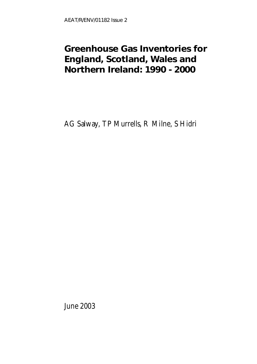### **Greenhouse Gas Inventories for England, Scotland, Wales and Northern Ireland: 1990 - 2000**

AG Salway, TP Murrells, R Milne, S Hidri

June 2003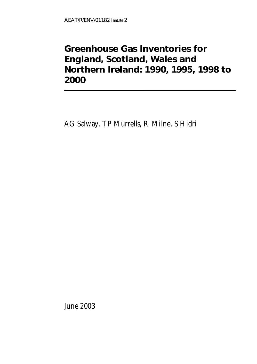### **Greenhouse Gas Inventories for England, Scotland, Wales and Northern Ireland: 1990, 1995, 1998 to 2000**

AG Salway, TP Murrells, R Milne, S Hidri

June 2003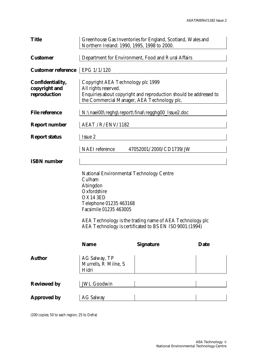| <b>Title</b>                                      | Greenhouse Gas Inventories for England, Scotland, Wales and<br>Northern Ireland: 1990, 1995, 1998 to 2000.                                                                                                                                                                 |                                                    |             |  |  |  |  |  |  |  |
|---------------------------------------------------|----------------------------------------------------------------------------------------------------------------------------------------------------------------------------------------------------------------------------------------------------------------------------|----------------------------------------------------|-------------|--|--|--|--|--|--|--|
| <b>Customer</b>                                   |                                                                                                                                                                                                                                                                            | Department for Environment, Food and Rural Affairs |             |  |  |  |  |  |  |  |
| <b>Customer reference</b>                         | EPG 1/1/120                                                                                                                                                                                                                                                                |                                                    |             |  |  |  |  |  |  |  |
| Confidentiality,<br>copyright and<br>reproduction | Copyright AEA Technology plc 1999<br>All rights reserved.<br>Enquiries about copyright and reproduction should be addressed to<br>the Commercial Manager, AEA Technology plc.                                                                                              |                                                    |             |  |  |  |  |  |  |  |
| <b>File reference</b>                             |                                                                                                                                                                                                                                                                            | N:\naei00\reghg\report\final\regghg00_Issue2.doc   |             |  |  |  |  |  |  |  |
| <b>Report number</b>                              | AEAT / R/ENV/1182                                                                                                                                                                                                                                                          |                                                    |             |  |  |  |  |  |  |  |
| <b>Report status</b>                              | Issue 2                                                                                                                                                                                                                                                                    |                                                    |             |  |  |  |  |  |  |  |
|                                                   | <b>NAEI</b> reference                                                                                                                                                                                                                                                      | 47052001/2000/CD1739/JW                            |             |  |  |  |  |  |  |  |
| <b>ISBN</b> number                                |                                                                                                                                                                                                                                                                            |                                                    |             |  |  |  |  |  |  |  |
|                                                   | <b>National Environmental Technology Centre</b><br>Culham<br>Abingdon<br>Oxfordshire<br>OX14 3ED<br>Telephone 01235 463168<br>Facsimile 01235 463005<br>AEA Technology is the trading name of AEA Technology plc<br>AEA Technology is certificated to BS EN ISO9001:(1994) |                                                    |             |  |  |  |  |  |  |  |
|                                                   | <b>Name</b>                                                                                                                                                                                                                                                                | <b>Signature</b>                                   | <b>Date</b> |  |  |  |  |  |  |  |
| <b>Author</b>                                     | AG Salway, TP<br>Murrells, R Milne, S<br>Hidri                                                                                                                                                                                                                             |                                                    |             |  |  |  |  |  |  |  |
| <b>Reviewed by</b>                                | <b>JWL Goodwin</b>                                                                                                                                                                                                                                                         |                                                    |             |  |  |  |  |  |  |  |
| <b>Approved by</b>                                | <b>AG Salway</b>                                                                                                                                                                                                                                                           |                                                    |             |  |  |  |  |  |  |  |

(200 copies; 50 to each region; 25 to Defra)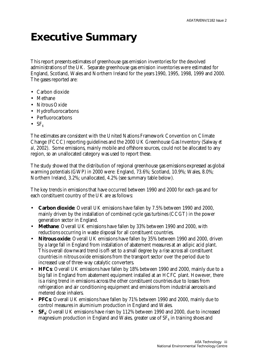### **Executive Summary**

This report presents estimates of greenhouse gas emission inventories for the devolved administrations of the UK. Separate greenhouse gas emission inventories were estimated for England, Scotland, Wales and Northern Ireland for the years 1990, 1995, 1998, 1999 and 2000. The gases reported are:

- Carbon dioxide
- Methane
- Nitrous Oxide
- Hydrofluorocarbons
- Perfluorocarbons
- $SF<sub>6</sub>$

The estimates are consistent with the United Nations Framework Convention on Climate Change (FCCC) reporting guidelines and the 2000 UK Greenhouse Gas Inventory (Salway *et al*, 2002). Some emissions, mainly mobile and offshore sources, could not be allocated to any region, so an unallocated category was used to report these.

The study showed that the distribution of regional greenhouse gas emissions expressed as global warming potentials (GWP) in 2000 were: England, 73.6%; Scotland, 10.9%; Wales, 8.0%; Northern Ireland, 3.2%; unallocated, 4.2% (see summary table below).

The key trends in emissions that have occurred between 1990 and 2000 for each gas and for each constituent country of the UK are as follows:

- **Carbon dioxide**: Overall UK emissions have fallen by 7.5% between 1990 and 2000, mainly driven by the installation of combined cycle gas turbines (CCGT) in the power generation sector in England.
- **Methane**: Overall UK emissions have fallen by 33% between 1990 and 2000, with reductions occurring in waste disposal for all constituent countries.
- **Nitrous oxide**: Overall UK emissions have fallen by 35% between 1990 and 2000, driven by a large fall in England from installation of abatement measures at an adipic acid plant. This overall downward trend is off-set to a small degree by a rise across all constituent countries in nitrous oxide emissions from the transport sector over the period due to increased use of three-way catalytic converters.
- **HFCs**: Overall UK emissions have fallen by 18% between 1990 and 2000, mainly due to a big fall in England from abatement equipment installed at an HCFC plant. However, there is a rising trend in emissions across the other constituent countries due to losses from refrigeration and air conditioning equipment and emissions from industrial aerosols and metered dose inhalers.
- **PFCs**: Overall UK emissions have fallen by 71% between 1990 and 2000, mainly due to control measures in aluminium production in England and Wales.
- **SF<sub>6</sub>**: Overall UK emissions have risen by 112% between 1990 and 2000, due to increased magnesium production in England and Wales, greater use of SF $_{\rm 6}$  in training shoes and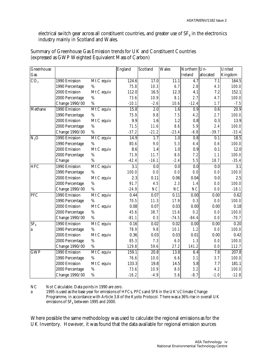electrical switch gear across all constituent countries, and greater use of SF $_{\rm 6}$  in the electronics industry mainly in Scotland and Wales.

| Greenhouse      |                 |            | England          | Scotland          | <b>Wales</b> | Northern Un- |           | United           |
|-----------------|-----------------|------------|------------------|-------------------|--------------|--------------|-----------|------------------|
| Gas             |                 |            |                  |                   |              | Ireland      | allocated | Kingdom          |
| CO <sub>2</sub> | 1990 Emission   | Mt C equiv | 124.6            | 17.0              | 11.1         | 4.7          | 7.1       | 164.5            |
|                 | 1990 Percentage | %          | 75.8             | 10.3              | 6.7          | 2.8          | 4.3       | 100.0            |
|                 | 2000 Emission   | Mt C equiv | 112.0            | 16.5              | 12.3         | 4.1          | 7.2       | 152.1            |
|                 | 2000 Percentage | $\%$       | 73.6             | 10.9              | 8.1          | 2.7          | 4.7       | 100.0            |
|                 | Change 1990/00  | $\%$       | $-10.1$          | $-2.6$            | 10.6         | $-12.4$      | 1.7       | $-7.5$           |
| Methane         | 1990 Emission   | Mt C equiv | 15.8             | 2.0               | 1.6          | 0.9          | 0.6       | 20.9             |
|                 | 1990 Percentage | %          | 75.9             | 9.8               | 7.5          | 4.2          | 2.7       | 100.0            |
|                 | 2000 Emission   | Mt C equiv | 9.9              | 1.6               | 1.2          | 0.8          | 0.3       | 13.9             |
|                 | 2000 Percentage | $\%$       | 71.5             | 11.6              | 8.6          | 5.9          | 2.4       | 100.0            |
|                 | Change 1990/00  | $\%$       | $-37.2$          | $-21.2$           | $-23.4$      | $-6.8$       | $-39.7$   | $-33.4$          |
| $N_2O$          | 1990 Emission   | Mt C equiv | 14.9             | 1.7               | 1.0          | $0.8\,$      | 0.1       | 18.5             |
|                 | 1990 Percentage | %          | 80.6             | 9.0               | 5.3          | 4.4          | 0.6       | 100.0            |
|                 | 2000 Emission   | Mt C equiv | 8.6              | 1.4               | $1.0\,$      | 0.9          | 0.1       | 12.0             |
|                 | 2000 Percentage | $\%$       | 71.9             | 11.7              | 8.0          | 7.2          | 1.1       | 100.0            |
|                 | Change          | $\%$       | $-42.4$          | $-16.1$           | $-2.4$       | 5.5          | 18.7      | $-35.4$          |
| <b>HFC</b>      | 1990 Emission   | Mt C equiv | $\overline{3.1}$ | 0.0               | 0.0          | 0.0          | 0.0       | $\overline{3.1}$ |
|                 | 1990 Percentage | %          | 100.0            | 0.0               | 0.0          | 0.0          | 0.0       | 100.0            |
|                 | 2000 Emission   | Mt C equiv | 2.3              | 0.11              | 0.06         | 0.04         | 0.0       | 2.5              |
|                 | 2000 Percentage | $\%$       | 91.7             | 4.5               | 2.3          | 1.4          | 0.0       | 100.0            |
|                 | Change 1990/00  | %          | $-24.9$          | NC                | NC           | NC           | 0.0       | $-18.1$          |
| PFC             | 1990 Emission   | Mt C equiv | 0.44             | $\overline{0.07}$ | 0.11         | 0.00         | 0.00      | 0.62             |
|                 | 1990 Percentage | %          | 70.5             | 11.3              | 17.9         | 0.3          | 0.0       | 100.0            |
|                 | 2000 Emission   | Mt C equiv | 0.08             | 0.07              | 0.03         | 0.00         | 0.00      | 0.18             |
|                 | 2000 Percentage | $\%$       | 45.6             | 38.7              | 15.6         | 0.2          | 0.0       | 100.0            |
|                 | Change 1990/00  | %          | $-81.1$          | 0.3               | $-74.5$      | $-84.4$      | 0.0       | $-70.7$          |
| SF <sub>6</sub> | 1990 Emission   | Mt C equiv | 0.16             | 0.02              | 0.02         | 0.00         | 0.00      | 0.20             |
| a               | 1990 Percentage | %          | 78.9             | 9.8               | 10.1         | 1.2          | 0.0       | 100.0            |
|                 | 2000 Emission   | Mt C equiv | 0.36             | 0.03              | 0.03         | 0.01         | 0.00      | 0.42             |
|                 | 2000 Percentage | $\%$       | 85.3             | 7.3               | 6.0          | 1.3          | 0.0       | 100.0            |
|                 | Change 1990/00  | $\%$       | 129.8            | 59.6              | 27.2         | 141.2        | 0.0       | 112.7            |
| <b>GWP</b>      | 1990 Emission   | Mt C equiv | 159.1            | 20.8              | 13.8         | 6.4          | 7.8       | 207.8            |
|                 | 1990 Percentage | $\%$       | 76.6             | 10.0              | 6.6          | 3.1          | 3.7       | 100.0            |
|                 | 2000 Emission   | Mt C equiv | 133.3            | 19.8              | 14.5         | 5.8          | 7.7       | 181.1            |
|                 | 2000 Percentage | $\%$       | 73.6             | 10.9              | 8.0          | 3.2          | 4.2       | 100.0            |
|                 | Change 1990/00  | $\%$       | $-16.2$          | $-4.9$            | 5.6          | $-8.7$       | $-1.0$    | $-12.8$          |

Summary of Greenhouse Gas Emission trends for UK and Constituent Countries (expressed as GWP Weighted Equivalent Mass of Carbon)

NC Not Calculable. Data points in 1990 are zero.

a 1995 is used as the base year for emissions of HFCs, PFCs and SF6 in the UK's Climate Change Programme, in accordance with Article 3.8 of the Kyoto Protocol. There was a 36% rise in overall UK emissions of  $SF_6$  between 1995 and 2000.

Where possible the same methodology was used to calculate the regional emissions as for the UK Inventory. However, it was found that the data available for regional emission sources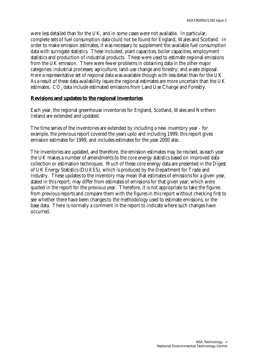were less detailed than for the UK, and in some cases were not available. In particular, complete sets of fuel consumption data could not be found for England, Wales and Scotland. In order to make emission estimates, it was necessary to supplement the available fuel consumption data with surrogate statistics. These included, plant capacities, boiler capacities, employment statistics and production of industrial products. These were used to estimate regional emissions from the UK emission. There were fewer problems in obtaining data in the other major categories: industrial processes; agriculture; land-use change and forestry; and waste disposal. Here a representative set of regional data was available though with less detail than for the UK. As a result of these data availability issues the regional estimates are more uncertain than the UK estimates.  $\rm CO_{2}$  data include estimated emissions from Land Use Change and Forestry.

#### **Revisions and updates to the regional inventories**

Each year, the regional greenhouse inventories for England, Scotland, Wales and Northern Ireland are extended and updated.

The time series of the inventories are extended by including a new inventory year - for example, the previous report covered the years upto and including 1999; this report gives emission estimates for 1999, and includes estimates for the year 2000 also.

The inventories are updated, and therefore, the emission estimates may be revised, as each year the UK makes a number of amendments to the core energy statistics based on improved data collection or estimation techniques. Much of these core energy data are presented in the Digest of UK Energy Statistics (DUKES), which is produced by the Department for Trade and Industry. These updates to the inventory may mean that estimates of emissions for a given year, stated in this report, may differ from estimates of emissions for that given year, which were quoted in the report for the previous year. Therefore, it is not appropriate to take the figures from previous reports and compare them with the figures in this report without checking first to see whether there have been changes to the methodology used to estimate emissions, or the base data. There is normally a comment in the report to indicate where such changes have occurred.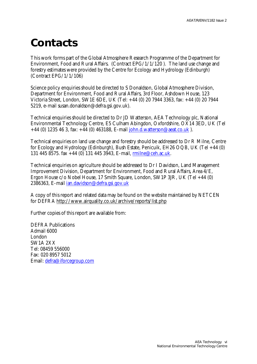### **Contacts**

This work forms part of the Global Atmosphere Research Programme of the Department for Environment, Food and Rural Affairs. (Contract EPG/1/1/120 ). The land use change and forestry estimates were provided by the Centre for Ecology and Hydrology (Edinburgh) (Contract EPG/1/1/106)

Science policy enquiries should be directed to S Donaldson, Global Atmosphere Division, Department for Environment, Food and Rural Affairs, 3rd Floor, Ashdown House, 123 Victoria Street, London, SW1E 6DE, UK (Tel: +44 (0) 20 7944 3363, fax: +44 (0) 20 7944 5219, e-mail susan.donaldson@defra.gsi.gov.uk).

Technical enquiries should be directed to Dr JD Watterson, AEA Technology plc, National Environmental Technology Centre, E5 Culham Abingdon, Oxfordshire, OX14 3ED, UK (Tel +44 (0) 1235 46 3, fax:  $+44$  (0) 463188, E-mail john.d.watterson@aeat.co.uk ).

Technical enquiries on land use change and forestry should be addressed to Dr R Milne, Centre for Ecology and Hydrology (Edinburgh), Bush Estate, Penicuik, EH26 OQB, UK (Tel +44 (0) 131 445 8575. fax +44 (0) 131 445 3943, E-mail, rmilne@ceh.ac.uk.

Technical enquiries on agriculture should be addressed to Dr I Davidson, Land Management Improvement Division, Department for Environment, Food and Rural Affairs, Area 4/E, Ergon House c/o Nobel House, 17 Smith Square, London, SW1P 3JR, UK (Tel +44 (0) 2386363, E-mail ian.davidson@defra.gsi.gov.uk

A copy of this report and related data may be found on the website maintained by NETCEN for DEFRA http://www.airquality.co.uk/archive/reports/list.php

Further copies of this report are available from:

DEFRA Publications Admail 6000 London SW1A 2XX Tel: 08459 556000 Fax: 020 8957 5012 Email: defra@iforcegroup.com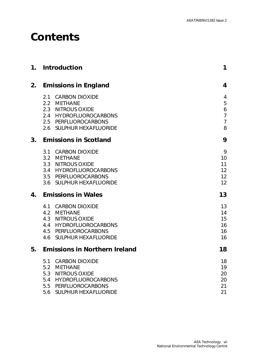## **Contents**

| 1. | Introduction                                                                                                                                                                              | 1                                                                      |
|----|-------------------------------------------------------------------------------------------------------------------------------------------------------------------------------------------|------------------------------------------------------------------------|
| 2. | <b>Emissions in England</b>                                                                                                                                                               | $\boldsymbol{4}$                                                       |
|    | 2.1 CARBON DIOXIDE<br>2.2 METHANE<br>2.3 NITROUS OXIDE<br>2.4 HYDROFLUOROCARBONS<br>2.5 PERFLUOROCARBONS<br>2.6 SULPHUR HEXAFLUORIDE                                                      | 4<br>5<br>$\ddot{\mathbf{6}}$<br>$\overline{7}$<br>$\overline{7}$<br>8 |
| 3. | <b>Emissions in Scotland</b>                                                                                                                                                              | 9                                                                      |
|    | 3.1 CARBON DIOXIDE<br>3.2 METHANE<br>3.3 NITROUS OXIDE<br>3.4 HYDROFLUOROCARBONS<br>3.5 PERFLUOROCARBONS<br>3.6 SULPHUR HEXAFLUORIDE                                                      | 9<br>10<br>11<br>12<br>12<br>12                                        |
| 4. | <b>Emissions in Wales</b>                                                                                                                                                                 | 13                                                                     |
|    | 4.1 CARBON DIOXIDE<br>4.2 METHANE<br>4.3 NITROUS OXIDE<br>4.4 HYDROFLUOROCARBONS<br>4.5 PERFLUOROCARBONS<br>4.6 SULPHUR HEXAFLUORIDE                                                      | 13<br>14<br>15<br>16<br>16<br>16                                       |
| 5. | <b>Emissions in Northern Ireland</b>                                                                                                                                                      | 18                                                                     |
|    | <b>CARBON DIOXIDE</b><br>5.1<br><b>METHANE</b><br>5.2<br>5.3<br><b>NITROUS OXIDE</b><br><b>HYDROFLUOROCARBONS</b><br>5.4<br>PERFLUOROCARBONS<br>5.5<br>5.6<br><b>SULPHUR HEXAFLUORIDE</b> | 18<br>19<br>20<br>20<br>21<br>21                                       |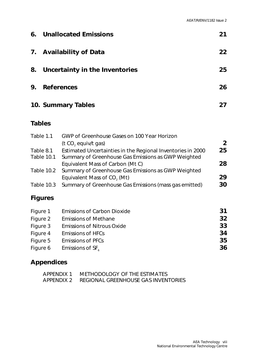| 6.                                           | <b>Unallocated Emissions</b><br>21   |                                                                                                                                                                                                                                                                                                                                            |                                  |  |  |  |  |  |  |
|----------------------------------------------|--------------------------------------|--------------------------------------------------------------------------------------------------------------------------------------------------------------------------------------------------------------------------------------------------------------------------------------------------------------------------------------------|----------------------------------|--|--|--|--|--|--|
| 7.                                           | <b>Availability of Data</b><br>22    |                                                                                                                                                                                                                                                                                                                                            |                                  |  |  |  |  |  |  |
| 8.                                           | 25<br>Uncertainty in the Inventories |                                                                                                                                                                                                                                                                                                                                            |                                  |  |  |  |  |  |  |
| 9.                                           | <b>References</b>                    |                                                                                                                                                                                                                                                                                                                                            | 26                               |  |  |  |  |  |  |
|                                              |                                      | 10. Summary Tables                                                                                                                                                                                                                                                                                                                         | 27                               |  |  |  |  |  |  |
| <b>Tables</b>                                |                                      |                                                                                                                                                                                                                                                                                                                                            |                                  |  |  |  |  |  |  |
| Table 1.1<br>Table 8.1                       | Table 10.1<br>Table 10.2             | GWP of Greenhouse Gases on 100 Year Horizon<br>(t CO <sub>2</sub> equiv/t gas)<br>Estimated Uncertainties in the Regional Inventories in 2000<br>Summary of Greenhouse Gas Emissions as GWP Weighted<br>Equivalent Mass of Carbon (Mt C)<br>Summary of Greenhouse Gas Emissions as GWP Weighted<br>Equivalent Mass of CO <sub>2</sub> (Mt) | $\overline{2}$<br>25<br>28<br>29 |  |  |  |  |  |  |
|                                              | <b>Table 10.3</b>                    | Summary of Greenhouse Gas Emissions (mass gas emitted)                                                                                                                                                                                                                                                                                     | 30                               |  |  |  |  |  |  |
|                                              | <b>Figures</b>                       |                                                                                                                                                                                                                                                                                                                                            |                                  |  |  |  |  |  |  |
| Figure 1<br>Figure 2<br>Figure 3<br>Figure 4 |                                      | <b>Emissions of Carbon Dioxide</b><br><b>Emissions of Methane</b><br><b>Emissions of Nitrous Oxide</b><br><b>Emissions of HFCs</b>                                                                                                                                                                                                         | 31<br>32<br>33<br>34             |  |  |  |  |  |  |

# **Appendices**

| APPFNDIX 1 | METHODOLOGY OF THE ESTIMATES        |
|------------|-------------------------------------|
| APPENDIX 2 | REGIONAL GREENHOUSE GAS INVENTORIES |

Figure 5 Emissions of PFCs **35** Figure 6 Emissions of  $SF_6$  **36**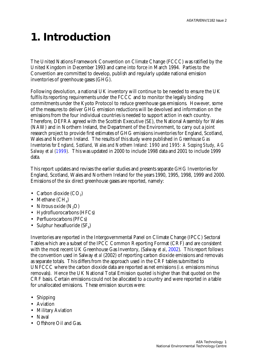### **1. Introduction**

The United Nations Framework Convention on Climate Change (FCCC) was ratified by the United Kingdom in December 1993 and came into force in March 1994. Parties to the Convention are committed to develop, publish and regularly update national emission inventories of greenhouse gases (GHG).

Following devolution, a national UK inventory will continue to be needed to ensure the UK fulfils its reporting requirements under the FCCC and to monitor the legally binding commitments under the Kyoto Protocol to reduce greenhouse gas emissions. However, some of the measures to deliver GHG emission reductions will be devolved and information on the emissions from the four individual countries is needed to support action in each country. Therefore, DEFRA agreed with the Scottish Executive (SE), the National Assembly for Wales (NAW) and in Northern Ireland, the Department of the Environment, to carry out a joint research project to provide first estimates of GHG emissions inventories for England, Scotland, Wales and Northern Ireland. The results of this study were published in *Greenhouse Gas Inventories for England, Scotland, Wales and Northern Ireland: 1990 and 1995: A Scoping Study, AG Salway et al (1999).* This was updated in 2000 to include 1998 data and 2001 to include 1999 data.

This report updates and revises the earlier studies and presents separate GHG Inventories for England, Scotland, Wales and Northern Ireland for the years 1990, 1995, 1998, 1999 and 2000. Emissions of the six direct greenhouse gases are reported, namely:

- Carbon dioxide  $(CO_2)$
- Methane  $(CH_4)$
- Nitrous oxide  $(N, O)$
- Hydrofluorocarbons (HFCs)
- Perfluorocarbons (PFCs)
- Sulphur hexafluoride  $(SF_6)$

Inventories are reported in the Intergovernmental Panel on Climate Change (IPCC) Sectoral Tables which are a subset of the IPCC Common Reporting Format (CRF) and are consistent with the most recent UK Greenhouse Gas Inventory, (Salway *et al*, 2002). This report follows the convention used in Salway *et al* (2002) of reporting carbon dioxide emissions and removals as separate totals. This differs from the approach used in the CRF tables submitted to UNFCCC where the carbon dioxide data are reported as net emissions (*i.e*. emissions minus removals). Hence the UK National Total Emission quoted is higher than that quoted on the CRF basis. Certain emissions could not be allocated to a country and were reported in a table for unallocated emissions. These emission sources were:

- Shipping
- Aviation
- Military Aviation
- Naval
- Offshore Oil and Gas.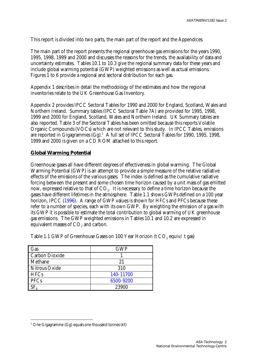This report is divided into two parts, the main part of the report and the Appendices.

The main part of the report presents the regional greenhouse gas emissions for the years 1990, 1995, 1998, 1999 and 2000 and discusses the reasons for the trends, the availability of data and uncertainty estimates. Tables 10.1 to 10.3 give the regional summary data for these years and include global warming potential (GWP) weighted emissions as well as actual emissions. Figures 1 to 6 provide a regional and sectoral distribution for each gas.

Appendix 1 describes in detail the methodology of the estimates and how the regional inventories relate to the UK Greenhouse Gas Inventory.

Appendix 2 provides IPCC Sectoral Tables for 1990 and 2000 for England, Scotland, Wales and Northern Ireland. Summary tables (IPCC Sectoral Table 7A) are provided for 1995, 1998, 1999 and 2000 for England, Scotland, Wales and Northern Ireland. UK Summary tables are also reported. Table 3 of the Sectoral Tables has been omitted because this reports Volatile Organic Compounds (VOCs) which are not relevant to this study. In IPCC Tables, emissions are reported in Gigagrammes (Gg).<sup>1</sup> A full set of IPCC Sectoral Tables for 1990, 1995, 1998, 1999 and 2000 is given on a CD ROM attached to this report.

#### **Global Warming Potential**

Greenhouse gases all have different degrees of effectiveness in global warming. The Global Warming Potential (GWP) is an attempt to provide a simple measure of the relative radiative effects of the emissions of the various gases. The index is defined as the cumulative radiative forcing between the present and some chosen time horizon caused by a unit mass of gas emitted now, expressed relative to that of  $\mathrm{CO}_2$ . It is necessary to define a time horizon because the gases have different lifetimes in the atmosphere. Table 1.1 shows GWPs defined on a 100 year horizon, IPCC (1996). A range of GWP values is shown for HFCs and PFCs because these refer to a number of species, each with its own GWP. By weighting the emission of a gas with its GWP it is possible to estimate the total contribution to global warming of UK greenhouse gas emissions. The GWP weighted emissions in Tables 10.1 and 10.2 are expressed in equivalent masses of  $\mathrm{CO}_2$  and carbon.

| Gas                   | <b>GWP</b> |
|-----------------------|------------|
| <b>Carbon Dioxide</b> |            |
| Methane               | 21         |
| Nitrous Oxide         | 310        |
| <b>HFCs</b>           | 140-11700  |
| <b>PFCs</b>           | 6500-9200  |
|                       | 23900      |

Table 1.1 GWP of Greenhouse Gases on 100 Year Horizon (t  $CO<sub>2</sub>$  equiv/t gas)

 $\overline{a}$ 

<sup>&</sup>lt;sup>1</sup> One Gigagramme (Gg) equals one thousand tonnes (kt)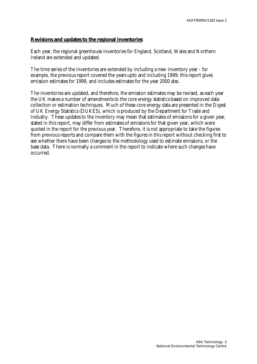#### **Revisions and updates to the regional inventories**

Each year, the regional greenhouse inventories for England, Scotland, Wales and Northern Ireland are extended and updated.

The time series of the inventories are extended by including a new inventory year - for example, the previous report covered the years upto and including 1999; this report gives emission estimates for 1999, and includes estimates for the year 2000 also.

The inventories are updated, and therefore, the emission estimates may be revised, as each year the UK makes a number of amendments to the core energy statistics based on improved data collection or estimation techniques. Much of these core energy data are presented in the Digest of UK Energy Statistics (DUKES), which is produced by the Department for Trade and Industry. These updates to the inventory may mean that estimates of emissions for a given year, stated in this report, may differ from estimates of emissions for that given year, which were quoted in the report for the previous year. Therefore, it is not appropriate to take the figures from previous reports and compare them with the figures in this report without checking first to see whether there have been changes to the methodology used to estimate emissions, or the base data. There is normally a comment in the report to indicate where such changes have occurred.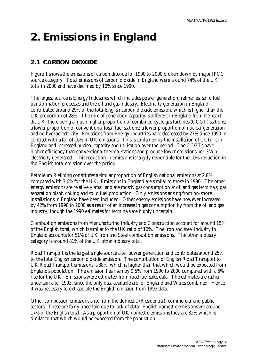## **2. Emissions in England**

### **2.1 CARBON DIOXIDE**

Figure 1 shows the emissions of carbon dioxide for 1990 to 2000 broken down by major IPCC source category. Total emissions of carbon dioxide in England were around 74% of the UK total in 2000 and have declined by 10% since 1990.

The largest source is Energy Industries which includes power generation, refineries, solid fuel transformation processes and the oil and gas industry. Electricity generation in England contributed around 29% of the total English carbon dioxide emission, which is higher than the UK proportion of 28%. The mix of generation capacity is different in England from *the rest of the* UK: there being a much higher proportion of combined cycle gas turbines (CCGT) stations; a lower proportion of conventional fossil fuel stations; a lower proportion of nuclear generation and no hydroelectricity. Emissions from Energy Industries have decreased by 27% since 1990 in contrast with a fall of 16% in UK emissions. This is explained by the installation of CCGTs in England and increased nuclear capacity and utilisation over the period. The CCGTs have higher efficiency than conventional thermal stations and produce lower emissions per GWh electricity generated. This reduction in emissions is largely responsible for the 10% reduction in the English total emission over the period.

Petroleum Refining constitutes a similar proportion of English national emissions at 2.8% compared with 3.0% for the UK. Emissions in England are similar to those in 1990. The other energy emissions are relatively small and are mostly gas consumption at oil and gas terminals, gas separation plant, coking and solid fuel production. Only emissions arising from on-shore installations in England have been included. Other energy emissions have however increased by 42% from 1990 to 2000 as a result of an increase in gas consumption by from the oil and gas industry, though the 1990 estimates for terminals are highly uncertain.

Combustion emissions from Manufacturing Industry and Construction account for around 15% of the English total, which is similar to the UK ratio of 16%. The iron and steel industry in England accounts for 51% of UK Iron and Steel combustion emissions. The other industry category is around 81% of the UK other industry total.

Road Transport is the largest single source after power generation and contributes around 25% to the total English carbon dioxide emission. The contribution of English Road Transport to UK Road Transport emissions is 88%, which is higher than that which would be expected from England's population. The emission has risen by 9.5% from 1990 to 2000 compared with a 6% rise for the UK. Emissions were estimated from road fuel sales data. The estimates are rather uncertain after 1993, since the only data available are for England and Wales combined. Hence it was necessary to extrapolate the English emission from 1993 data.

Other combustion emissions arise from the domestic (Residential), commercial and public sectors. These are fairly uncertain due to lack of data. English domestic emissions are around 17% of the English total. As a proportion of UK domestic emissions they are 82% which is similar to that which would be expected from the population.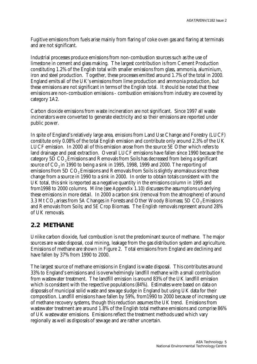Fugitive emissions from fuels arise mainly from flaring of coke oven gas and flaring at terminals and are not significant.

Industrial processes produce emissions from non-combustion sources such as the use of limestone in cement and glass making. The largest contribution is from Cement Production constituting 1.2% of the English total with smaller emissions from glass, ammonia, aluminium, iron and steel production. Together, these processes emitted around 1.7% of the total in 2000. England emits all of the UK's emissions from lime production and ammonia production, but these emissions are not significant in terms of the English total. It should be noted that these emissions are non-combustion emissions - combustion emissions from industry are covered by category 1A2.

Carbon dioxide emissions from waste incineration are not significant. Since 1997 all waste incinerators were converted to generate electricity and so their emissions are reported under public power.

In spite of England's relatively large area, *emissions* from Land Use Change and Forestry (LUCF) constitute only 0.08% of the total English emission and contribute only around 2.3% of the UK LUCF emission. In 2000 all of this emission arose from the source 5E Other which refers to land drainage and peat extraction. Overall LUCF emissions have fallen since 1990 because the category 5D CO<sub>2</sub> Emissions and Removals from Soils has decreased from being a significant source of  $CO<sub>2</sub>$  in 1990 to being a sink in 1995, 1998, 1999 and 2000. The reporting of emissions from 5D CO<sub>2</sub> Emissions and Removals from Soils is slightly anomalous since these change from a source in 1990 to a sink in 2000. In order to obtain totals consistent with the UK total, this sink is reported as a negative quantity in the emissions column in 1995 and from1998 to 2000 columns. Milne (see Appendix 1.10) discusses the assumptions underlying these emissions in more detail. In 2000 a carbon sink (removal from the atmosphere) of around 3.3 Mt CO<sub>2</sub> arises from 5A Changes in Forests and Other Woody Biomass; 5D CO<sub>2</sub> Emissions and Removals from Soils; and 5E Crop Biomass. The English removals represent around 28% of UK removals.

#### **2.2 METHANE**

Unlike carbon dioxide, fuel combustion is not the predominant source of methane. The major sources are waste disposal, coal mining, leakage from the gas distribution system and agriculture. Emissions of methane are shown in Figure 2. Total emissions from England are declining and have fallen by 37% from 1990 to 2000.

The largest source of methane emissions in England is waste disposal. This contributes around 33% to England's emissions and is overwhelmingly landfill methane with a small contribution from wastewater treatment. The landfill emission is around 83% of the UK landfill emission which is consistent with the respective populations (84%). Estimates were based on data on disposals of municipal solid waste and sewage sludge in England but using UK data for their composition. Landfill emissions have fallen by 59%, from1990 to 2000 because of increasing use of methane recovery systems, though this reduction assumes the UK trend. Emissions from wastewater treatment are around 1.8% of the English total methane emissions and comprise 86% of UK wastewater emissions. Emissions reflect the treatment methods used which vary regionally as well as disposals of sewage and are rather uncertain.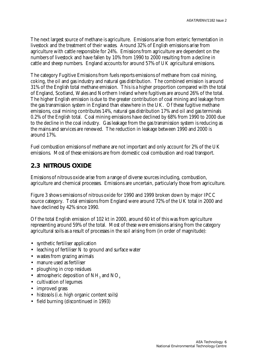The next largest source of methane is agriculture. Emissions arise from enteric fermentation in livestock and the treatment of their wastes. Around 32% of English emissions arise from agriculture with cattle responsible for 24%. Emissions from agriculture are dependent on the numbers of livestock and have fallen by 10% from 1990 to 2000 resulting from a decline in cattle and sheep numbers. England accounts for around 57% of UK agricultural emissions.

The category Fugitive Emissions from fuels reports emissions of methane from coal mining, coking, the oil and gas industry and natural gas distribution. The combined emission is around 31% of the English total methane emission. This is a higher proportion compared with the total of England, Scotland, Wales and Northern Ireland where fugitives are around 26% of the total. The higher English emission is due to the greater contribution of coal mining and leakage from the gas transmission system in England than elsewhere in the UK. Of these fugitive methane emissions, coal mining contributes 14%, natural gas distribution 17% and oil and gas terminals 0.2% of the English total. Coal mining emissions have declined by 68% from 1990 to 2000 due to the decline in the coal industry. Gas leakage from the gas transmission system is reducing as the mains and services are renewed. The reduction in leakage between 1990 and 2000 is around 17%.

Fuel combustion emissions of methane are not important and only account for 2% of the UK emissions. Most of these emissions are from domestic coal combustion and road transport.

#### **2.3 NITROUS OXIDE**

Emissions of nitrous oxide arise from a range of diverse sources including, combustion, agriculture and chemical processes. Emissions are uncertain, particularly those from agriculture.

Figure 3 shows emissions of nitrous oxide for 1990 and 1999 broken down by major IPCC source category. Total emissions from England were around 72% of the UK total in 2000 and have declined by 42% since 1990.

Of the total English emission of 102 kt in 2000, around 60 kt of this was from agriculture representing around 59% of the total. Most of these were emissions arising from the category agricultural soils as a result of processes in the soil arising from (in order of magnitude):

- synthetic fertiliser application
- leaching of fertiliser N to ground and surface water
- wastes from grazing animals
- manure used as fertiliser
- ploughing in crop residues
- atmospheric deposition of  $NH<sub>3</sub>$  and  $NO<sub>x</sub>$
- cultivation of legumes
- improved grass
- histosols (i.e. high organic content soils)
- field burning (discontinued in 1993)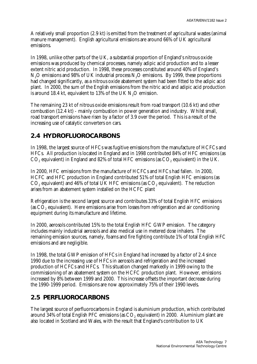A relatively small proportion (2.9 kt) is emitted from the treatment of agricultural wastes (animal manure management). English agricultural emissions are around 66% of UK agricultural emissions.

In 1998, unlike other parts of the UK, a substantial proportion of England's nitrous oxide emissions was produced by chemical processes, namely adipic acid production and to a lesser extent nitric acid production. In 1998, these processes constituted around 40% of England's  $N<sub>2</sub>O$  emissions and 98% of UK industrial process  $N<sub>2</sub>O$  emissions. By 1999, these proportions had changed significantly, as a nitrous oxide abatement system had been fitted to the adipic acid plant. In 2000, the sum of the English emissions from the nitric acid and adipic acid production is around 18.4 kt, equivalent to 13% of the UK  $N<sub>2</sub>O$  emission.

The remaining 23 kt of nitrous oxide emissions result from road transport (10.6 kt) and other combustion (12.4 kt) - mainly combustion in power generation and industry. Whilst small, road transport emissions have risen by a factor of 3.9 over the period. This is a result of the increasing use of catalytic converters on cars.

### **2.4 HYDROFLUOROCARBONS**

In 1998, the largest source of HFCs was fugitive emissions from the manufacture of HCFCs and HFCs. All production is located in England and in 1998 contributed 84% of HFC emissions (as  $\mathrm{CO}_2$  equivalent) in England and 82% of total HFC emissions (as  $\mathrm{CO}_2$  equivalent) in the UK.

In 2000, HFC emissions from the manufacture of HCFCs and HFCs had fallen. In 2000, HCFC and HFC production in England contributed 51% of total English HFC emissions (as  $\mathrm{CO}_2$  equivalent) and 46% of total UK HFC emissions (as  $\mathrm{CO}_2$  equivalent). The reduction arises from an abatement system installed on the HCFC plant

Refrigeration is the second largest source and contributes 33% of total English HFC emissions (as  $\mathrm{CO}_2$  equivalent). Here emissions arise from losses from refrigeration and air conditioning equipment during its manufacture and lifetime.

In 2000, aerosols contributed 15% to the total English HFC GWP emission. The category includes mainly industrial aerosols and also medical use in metered dose inhalers. The remaining emission sources, namely, foams and fire fighting contribute 1% of total English HFC emissions and are negligible.

In 1998, the total GWP emission of HFCs in England had increased by a factor of 2.4 since 1990 due to the increasing use of HFCs in aerosols and refrigeration and the increased production of HCFCs and HFCs. This situation changed markedly in 1999 owing to the commissioning of an abatement system on the HCFC production plant. However, emissions increased by 8% between 1999 and 2000. This increase offsets the important decrease during the 1990-1999 period. Emissions are now approximately 75% of their 1990 levels.

### **2.5 PERFLUOROCARBONS**

The largest source of perfluorocarbons in England is aluminium production, which contributed around 34% of total English PFC emissions (as  $\mathrm{CO}_2$  equivalent) in 2000. Aluminium plant are also located in Scotland and Wales, with the result that England's contribution to UK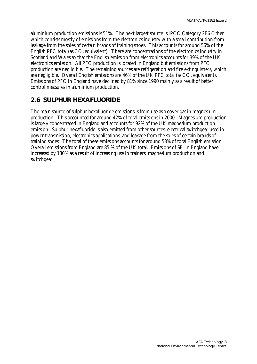aluminium production emissions is 51%. The next largest source is IPCC Category 2F6 Other which consists mostly of emissions from the electronics industry with a small contribution from leakage from the soles of certain brands of training shoes. This accounts for around 56% of the English PFC total (as  $CO<sub>2</sub>$  equivalent). There are concentrations of the electronics industry in Scotland and Wales so that the English emission from electronics accounts for 39% of the UK electronics emission. All PFC production is located in England but emissions from PFC production are negligible. The remaining sources are refrigeration and fire extinguishers, which are negligible. Overall English emissions are 46% of the UK PFC total (as CO $_{\tiny 2}$  equivalent). Emissions of PFC in England have declined by 81% since 1990 mainly as a result of better control measures in aluminium production.

#### **2.6 SULPHUR HEXAFLUORIDE**

The main source of sulphur hexafluoride emissions is from use as a cover gas in magnesium production. This accounted for around 42% of total emissions in 2000. Magnesium production is largely concentrated in England and accounts for 92% of the UK magnesium production emission. Sulphur hexafluoride is also emitted from other sources: electrical switchgear used in power transmission; electronics applications; and leakage from the soles of certain brands of training shoes. The total of these emissions accounts for around 58% of total English emission. Overall emissions from England are 85 % of the UK total. Emissions of SF $_{\rm 6}$  in England have increased by 130% as a result of increasing use in trainers, magnesium production and switchgear.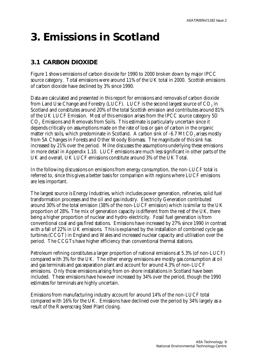## **3. Emissions in Scotland**

### **3.1 CARBON DIOXIDE**

Figure 1 shows emissions of carbon dioxide for 1990 to 2000 broken down by major IPCC source category. Total emissions were around 11% of the UK total in 2000. Scottish emissions of carbon dioxide have declined by 3% since 1990.

Data are calculated and presented in this report for emissions and removals of carbon dioxide from Land Use Change and Forestry (LUCF). LUCF is the second largest source of  $\mathrm{CO}_2$  in Scotland and constitutes around 20% of the total Scottish emission and contributes around 81% of the UK LUCF Emission. Most of this emission arises from the IPCC source category 5D CO<sub>2</sub> Emissions and Removals from Soils. This estimate is particularly uncertain since it depends critically on assumptions made on the rate of loss or gain of carbon in the organic matter rich soils, which predominate in Scotland. A carbon sink of  $-6.7$  Mt  $CO<sub>2</sub>$  arises mostly from 5A Changes in Forests and Other Woody Biomass. The magnitude of this sink has increased by 21% over the period. Milne discusses the assumptions underlying these emissions in more detail in Appendix 1.10. LUCF emissions are much less significant in other parts of the UK and overall, UK LUCF emissions constitute around 3% of the UK Total.

In the following discussions on emissions from energy consumption, the non-LUCF total is referred to, since this gives a better basis for comparison with regions where LUCF emissions are less important.

The largest source is Energy Industries, which includes power generation, refineries, solid fuel transformation processes and the oil and gas industry. Electricity Generation contributed around 30% of the total emission (38% of the non-LUCF emission) which is similar to the UK proportion of 28%. The mix of generation capacity is different from the rest of the UK, there being a higher proportion of nuclear and hydro-electricity. Fossil fuel generation is from conventional coal and gas fired stations. Emissions have increased by 27% since 1990 in contrast with a fall of  $22\%$  in UK emissions. This is explained by the installation of combined cycle gas turbines (CCGT) in England and Wales and increased nuclear capacity and utilisation over the period. The CCGTs have higher efficiency than conventional thermal stations.

Petroleum refining constitutes a larger proportion of national emissions at 5.3% (of non-LUCF) compared with 3% for the UK. The other energy emissions are mostly gas consumption at oil and gas terminals and gas separation plant and account for around 4.3% of non-LUCF emissions. Only those emissions arising from on-shore installations in Scotland have been included. These emissions have however increased by 34% over the period, though the 1990 estimates for terminals are highly uncertain.

Emissions from manufacturing industry account for around 14% of the non-LUCF total compared with 16% for the UK. Emissions have declined over the period by 34% largely as a result of the Ravenscraig Steel Plant closing.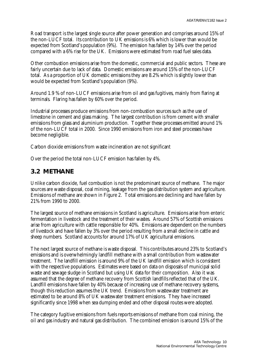Road transport is the largest single source after power generation and comprises around 15% of the non-LUCF total. Its contribution to UK emissions is 6% which is lower than would be expected from Scotland's population (9%). The emission has fallen by 14% over the period compared with a 6% rise for the UK. Emissions were estimated from road fuel sales data.

Other combustion emissions arise from the domestic, commercial and public sectors. These are fairly uncertain due to lack of data. Domestic emissions are around 15% of the non-LUCF total. As a proportion of UK domestic emissions they are 8.2% which is slightly lower than would be expected from Scotland's population (9%).

Around 1.9 % of non-LUCF emissions arise from oil and gas fugitives, mainly from flaring at terminals. Flaring has fallen by 60% over the period.

Industrial processes produce emissions from non-combustion sources such as the use of limestone in cement and glass making. The largest contribution is from cement with smaller emissions from glass and aluminium production. Together these processes emitted around 1% of the non-LUCF total in 2000. Since 1990 emissions from iron and steel processes have become negligible.

Carbon dioxide emissions from waste incineration are not significant

Over the period the total non-LUCF emission has fallen by 4%.

#### **3.2 METHANE**

Unlike carbon dioxide, fuel combustion is not the predominant source of methane. The major sources are waste disposal, coal mining, leakage from the gas distribution system and agriculture. Emissions of methane are shown in Figure 2. Total emissions are declining and have fallen by 21% from 1990 to 2000.

The largest source of methane emissions in Scotland is agriculture. Emissions arise from enteric fermentation in livestock and the treatment of their wastes. Around 57% of Scottish emissions arise from agriculture with cattle responsible for 40%. Emissions are dependent on the numbers of livestock and have fallen by 3% over the period resulting from a small decline in cattle and sheep numbers. Scotland accounts for around 17% of UK agricultural emissions.

The next largest source of methane is waste disposal. This contributes around 23% to Scotland's emissions and is overwhelmingly landfill methane with a small contribution from wastewater treatment. The landfill emission is around 9% of the UK landfill emission which is consistent with the respective populations. Estimates were based on data on disposals of municipal solid waste and sewage sludge in Scotland but using UK data for their composition. Also it was assumed that the degree of methane recovery from Scottish landfills reflected that of the UK. Landfill emissions have fallen by 40% because of increasing use of methane recovery systems, though this reduction assumes the UK trend. Emissions from wastewater treatment are estimated to be around 8% of UK wastewater treatment emissions. They have increased significantly since 1998 when sea dumping ended and other disposal routes were adopted.

The category fugitive emissions from fuels reports emissions of methane from coal mining, the oil and gas industry and natural gas distribution. The combined emission is around 15% of the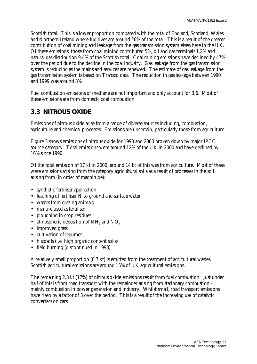Scottish total. This is a lower proportion compared with the total of England, Scotland, Wales and Northern Ireland where fugitives are around 26% of the total. This is a result of the greater contribution of coal mining and leakage from the gas transmission system elsewhere in the UK. Of these emissions, those from coal mining contributed 5%, oil and gas terminals 1.2% and natural gas distribution 9.4% of the Scottish total. Coal mining emissions have declined by 47% over the period due to the decline in the coal industry. Gas leakage from the gas transmission system is reducing as the mains and services are renewed. The estimate of gas leakage from the gas transmission system is based on Transco data. The reduction in gas leakage between 1990 and 1999 was around 8%.

Fuel combustion emissions of methane are not important and only account for 3.6. Most of these emissions are from domestic coal combustion.

#### **3.3 NITROUS OXIDE**

Emissions of nitrous oxide arise from a range of diverse sources including, combustion, agriculture and chemical processes. Emissions are uncertain, particularly those from agriculture.

Figure 3 shows emissions of nitrous oxide for 1990 and 2000 broken down by major IPCC source category. Total emissions were around 12% of the UK in 2000 and have declined by 16% since 1990.

Of the total emission of 17 kt in 2000, around 14 kt of this was from agriculture. Most of these were emissions arising from the category agricultural soils as a result of processes in the soil arising from (in order of magnitude):

- synthetic fertiliser application
- leaching of fertiliser N to ground and surface water
- wastes from grazing animals
- manure used as fertiliser
- ploughing in crop residues
- atmospheric deposition of  $NH<sub>3</sub>$  and  $NO<sub>x</sub>$
- improved grass
- cultivation of legumes
- histosols (i.e. high organic content soils)
- field burning (discontinued in 1993)

A relatively small proportion (0.7 kt) is emitted from the treatment of agricultural wastes. Scottish agricultural emissions are around 15% of UK agricultural emissions.

The remaining 2.8 kt (17%) of nitrous oxide emissions result from fuel combustion. Just under half of this is from road transport with the remainder arising from stationary combustion mainly combustion in power generation and industry. Whilst small, road transport emissions have risen by a factor of 3 over the period. This is a result of the increasing use of catalytic converters on cars.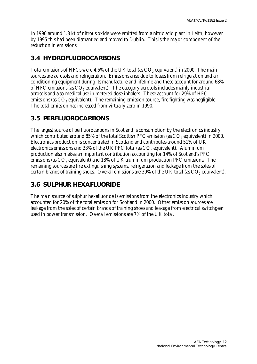In 1990 around 1.3 kt of nitrous oxide were emitted from a nitric acid plant in Leith, however by 1995 this had been dismantled and moved to Dublin. This is the major component of the reduction in emissions.

#### **3.4 HYDROFLUOROCARBONS**

Total emissions of HFCs were 4.5% of the UK total (as  $\mathrm{CO}_2$  equivalent) in 2000. The main sources are aerosols and refrigeration. Emissions arise due to losses from refrigeration and air conditioning equipment during its manufacture and lifetime and these account for around 68% of HFC emissions (as  $\mathrm{CO}_2$  equivalent). The category aerosols includes mainly industrial aerosols and also medical use in metered dose inhalers. These account for 29% of HFC emissions (as  $\mathrm{CO}_2$  equivalent). The remaining emission source, fire fighting was negligible. The total emission has increased from virtually zero in 1990.

#### **3.5 PERFLUOROCARBONS**

The largest source of perfluorocarbons in Scotland is consumption by the electronics industry, which contributed around 85% of the total Scottish PFC emission (as  $\mathrm{CO}_2$  equivalent) in 2000. Electronics production is concentrated in Scotland and contributes around 51% of UK electronics emissions and 33% of the UK PFC total (as  $\mathrm{CO}_2$  equivalent). Aluminium production also makes an important contribution accounting for 14% of Scotland's PFC emissions (as  $\mathrm{CO}_2$  equivalent) and 18% of UK aluminium production PFC emissions. The remaining sources are fire extinguishing systems, refrigeration and leakage from the soles of certain brands of training shoes. Overall emissions are 39% of the UK total (as  $\mathrm{CO}_2$  equivalent).

### **3.6 SULPHUR HEXAFLUORIDE**

The main source of sulphur hexafluoride is emissions from the electronics industry which accounted for 20% of the total emission for Scotland in 2000. Other emission sources are leakage from the soles of certain brands of training shoes and leakage from electrical switchgear used in power transmission. Overall emissions are 7% of the UK total.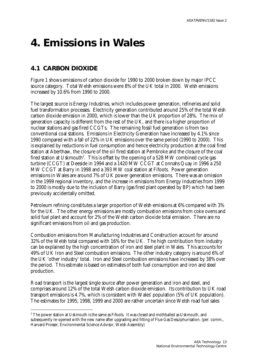### **4. Emissions in Wales**

### **4.1 CARBON DIOXIDE**

 $\overline{a}$ 

Figure 1 shows emissions of carbon dioxide for 1990 to 2000 broken down by major IPCC source category. Total Welsh emissions were 8% of the UK total in 2000. Welsh emissions increased by 10.6% from 1990 to 2000.

The largest source is Energy Industries, which includes power generation, refineries and solid fuel transformation processes. Electricity generation contributed around 25% of the total Welsh carbon dioxide emission in 2000, which is lower than the UK proportion of 28%. The mix of generation capacity is different from the rest of the UK, and there is a higher proportion of nuclear stations and gas fired CCGTs. The remaining fossil fuel generation is from two conventional coal stations. Emissions in Electricity Generation have increased by 4.1% since 1990 compared with a fall of 22% in UK emissions over the same period (1990 to 2000). This is explained by reductions in fuel consumption and hence electricity production at the coal fired station at Aberthaw, the closure of the oil fired station at Pembroke and the closure of the coal fired station at Uskmouth $^2$ . This is offset by the opening of a 528 MW combined cycle gas turbine (CCGT) at Deeside in 1994 and a 1420 MW CCGT at Connahs Quay in 1996 a 250 MW CCGT at Barry in 1998 and a 393 MW coal station at Fifoots. Power generation emissions in Wales are around 7% of UK power generation emissions. There was an omission in the 1999 regional inventory, and the increase in emissions from Energy Industries from 1999 to 2000 is mostly due to the inclusion of Barry (gas fired plant operated by BP) which had been previously accidentally omitted.

Petroleum refining constitutes a larger proportion of Welsh emissions at 6% compared with 3% for the UK. The other energy emissions are mostly combustion emissions from coke ovens and solid fuel plant and account for 2% of the Welsh carbon dioxide total emission. There are no significant emissions from oil and gas production.

Combustion emissions from Manufacturing Industries and Construction account for around 32% of the Welsh total compared with 16% for the UK. The high contribution from industry can be explained by the high concentration of iron and steel plant in Wales. This accounts for 49% of UK Iron and Steel combustion emissions. The other industry category is around 6% of the UK 'other industry' total. Iron and Steel combustion emissions have increased by 38% over the period. This estimate is based on estimates of both fuel consumption and iron and steel production.

Road transport is the largest single source after power generation and iron and steel, and comprises around 12% of the total Welsh carbon dioxide emission. Its contribution to UK road transport emissions is 4.7%, which is consistent with Wales' population (5% of UK population). The estimates for 1995, 1998, 1999 and 2000 are rather uncertain since Welsh road fuel sales

<sup>&</sup>lt;sup>2</sup> The power station at Uskmouth is the same as Fifoots. It was closed and mothballed as Uskmouth, and subsequently re-opened with the new name after upgrading and fitting of Flue Gas Desulphurisation. (per. comm., Harvard Prosser, Environmental Science Advisor, Welsh Assembly)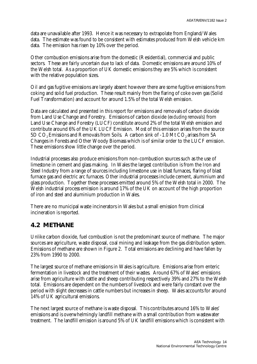data are unavailable after 1993. Hence it was necessary to extrapolate from England/Wales data. The estimate was found to be consistent with estimates produced from Welsh vehicle km data. The emission has risen by 10% over the period.

Other combustion emissions arise from the domestic (Residential), commercial and public sectors. These are fairly uncertain due to lack of data. Domestic emissions are around 10% of the Welsh total. As a proportion of UK domestic emissions they are 5% which is consistent with the relative population sizes.

Oil and gas fugitive emissions are largely absent however there are some fugitive emissions from coking and solid fuel production. These result mainly from the flaring of coke oven gas (Solid Fuel Transformation) and account for around 1.5% of the total Welsh emission.

Data are calculated and presented in this report for emissions and removals of carbon dioxide from Land Use Change and Forestry. Emissions of carbon dioxide (*excluding removals*) from Land Use Change and Forestry (LUCF) constitute around 2% of the total Welsh emission and contribute around 6% of the UK LUCF Emission. Most of this emission arises from the source 5D CO<sub>2</sub> Emissions and Removals from Soils. A carbon sink of -1.0 Mt CO<sub>2</sub> arises from 5A Changes in Forests and Other Woody Biomass which is of similar order to the LUCF emission. These emissions show little change over the period.

Industrial processes also produce emissions from non-combustion sources such as the use of limestone in cement and glass making. In Wales the largest contribution is from the Iron and Steel Industry from a range of sources including limestone use in blast furnaces, flaring of blast furnace gas and electric arc furnaces. Other industrial processes include cement, aluminium and glass production. Together these processes emitted around 5% of the Welsh total in 2000. The Welsh industrial process emission is around 17% of the UK on account of the high proportion of iron and steel and aluminium production in Wales.

There are no municipal waste incinerators in Wales but a small emission from clinical incineration is reported.

#### **4.2 METHANE**

Unlike carbon dioxide, fuel combustion is not the predominant source of methane. The major sources are agriculture, waste disposal, coal mining and leakage from the gas distribution system. Emissions of methane are shown in Figure 2. Total emissions are declining and have fallen by 23% from 1990 to 2000.

The largest source of methane emissions in Wales is agriculture. Emissions arise from enteric fermentation in livestock and the treatment of their wastes. Around 67% of Wales' emissions arise from agriculture with cattle and sheep contributing respectively 39% and 27% to the Welsh total. Emissions are dependent on the numbers of livestock and were fairly constant over the period with slight decreases in cattle numbers but increases in sheep. Wales accounts for around 14% of UK agricultural emissions.

The next largest source of methane is waste disposal. This contributes around 16% to Wales' emissions and is overwhelmingly landfill methane with a small contribution from wastewater treatment. The landfill emission is around 5% of UK landfill emissions which is consistent with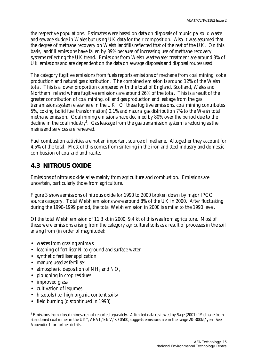the respective populations. Estimates were based on data on disposals of municipal solid waste and sewage sludge in Wales but using UK data for their composition. Also it was assumed that the degree of methane recovery on Welsh landfills reflected that of the rest of the UK. On this basis, landfill emissions have fallen by 39% because of increasing use of methane recovery systems reflecting the UK trend. Emissions from Welsh wastewater treatment are around 3% of UK emissions and are dependent on the data on sewage disposals and disposal routes used.

The category fugitive emissions from fuels reports emissions of methane from coal mining, coke production and natural gas distribution. The combined emission is around 12% of the Welsh total. This is a lower proportion compared with the total of England, Scotland, Wales and Northern Ireland where fugitive emissions are around 26% of the total. This is a result of the greater contribution of coal mining, oil and gas production and leakage from the gas transmissions system elsewhere in the UK. Of these fugitive emissions, coal mining contributes 5%, coking (solid fuel transformation) 0.1% and natural gas distribution 7% to the Welsh total methane emission. Coal mining emissions have declined by 80% over the period due to the decline in the coal industry $^3$ . Gas leakage from the gas transmission system is reducing as the mains and services are renewed.

Fuel combustion activities are not an important source of methane. Altogether they account for 4.5% of the total. Most of this comes from sintering in the iron and steel industry and domestic combustion of coal and anthracite.

#### **4.3 NITROUS OXIDE**

Emissions of nitrous oxide arise mainly from agriculture and combustion. Emissions are uncertain, particularly those from agriculture.

Figure 3 shows emissions of nitrous oxide for 1990 to 2000 broken down by major IPCC source category. Total Welsh emissions were around 8% of the UK in 2000. After fluctuating during the 1990-1999 period, the total Welsh emission in 2000 is similar to the 1990 level.

Of the total Welsh emission of 11.3 kt in 2000, 9.4 kt of this was from agriculture. Most of these were emissions arising from the category agricultural soils as a result of processes in the soil arising from (in order of magnitude):

- wastes from grazing animals
- leaching of fertiliser N to ground and surface water
- synthetic fertiliser application
- manure used as fertiliser
- atmospheric deposition of  $NH<sub>3</sub>$  and  $NO<sub>x</sub>$
- ploughing in crop residues
- improved grass

 $\overline{a}$ 

- cultivation of legumes
- histosols (i.e. high organic content soils)
- field burning (discontinued in 1993)

<sup>3</sup> Emissions from closed mines are not reported separately. A limited data reviewed by Sage (2001) "Methane from abandoned coal mines in the UK", AEAT/ENV/R/0500, suggests emissions are in the range 20-300kt/year. See Appendix 1 for further details.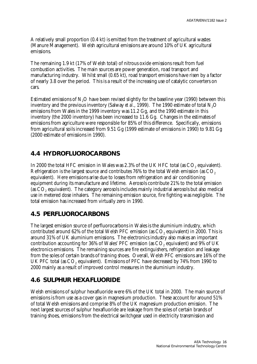A relatively small proportion (0.4 kt) is emitted from the treatment of agricultural wastes (Manure Management). Welsh agricultural emissions are around 10% of UK agricultural emissions.

The remaining 1.9 kt (17% of Welsh total) of nitrous oxide emissions result from fuel combustion activities. The main sources are power generation, road transport and manufacturing industry. Whilst small (0.65 kt), road transport emissions have risen by a factor of nearly 3.8 over the period. This is a result of the increasing use of catalytic converters on cars.

Estimated emissions of  $N<sub>2</sub>O$  have been revised slightly for the baseline year (1990) between this inventory and the previous inventory (Salway *et al.*, 1999). The 1990 estimate of total N<sub>2</sub>O emissions from Wales in the 1999 inventory was 11.2 Gg, and the 1990 estimate in this inventory (the 2000 inventory) has been increased to 11.6 Gg. Changes in the estimates of emissions from agriculture were responsible for 85% of this difference. Specifically, emissions from agricultural soils increased from 9.51 Gg (1999 estimate of emissions in 1990) to 9.81 Gg (2000 estimate of emissions in 1990).

#### **4.4 HYDROFLUOROCARBONS**

In 2000 the total HFC emission in Wales was 2.3% of the UK HFC total (as  $\mathrm{CO}_2$  equivalent). Refrigeration is the largest source and contributes 76% to the total Welsh emission (as CO<sub>2</sub>) equivalent). Here emissions arise due to losses from refrigeration and air conditioning equipment during its manufacture and lifetime. Aerosols contribute 21% to the total emission (as  $\mathrm{CO}_2$  equivalent). The category aerosols includes mainly industrial aerosols but also medical use in metered dose inhalers. The remaining emission source, fire fighting was negligible. The total emission has increased from virtually zero in 1990.

#### **4.5 PERFLUOROCARBONS**

The largest emission source of perfluorocarbons in Wales is the aluminium industry, which contributed around 62% of the total Welsh PFC emission (as  $\mathrm{CO}_2$  equivalent) in 2000. This is around 31% of UK aluminium emissions. The electronics industry also makes an important contribution accounting for 36% of Wales' PFC emission (as  $\mathrm{CO}_2$  equivalent) and 9% of UK electronics emissions. The remaining sources are fire extinguishers, refrigeration and leakage from the soles of certain brands of training shoes. Overall, Welsh PFC emissions are 16% of the UK PFC total (as  $\mathrm{CO}_2$  equivalent). Emissions of PFC have decreased by 74% from 1990 to 2000 mainly as a result of improved control measures in the aluminium industry.

#### **4.6 SULPHUR HEXAFLUORIDE**

Welsh emissions of sulphur hexafluoride were 6% of the UK total in 2000. The main source of emissions is from use as a cover gas in magnesium production. These account for around 51% of total Welsh emissions and comprise 8% of the UK magnesium production emission. The next largest sources of sulphur hexafluoride are leakage from the soles of certain brands of training shoes, emissions from the electrical switchgear used in electricity transmission and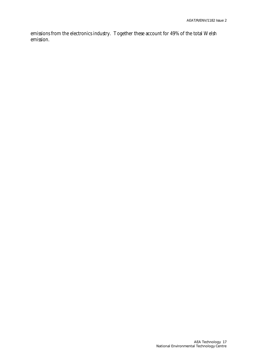emissions from the electronics industry. Together these account for 49% of the total Welsh emission.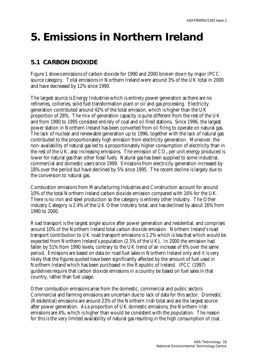### **5. Emissions in Northern Ireland**

#### **5.1 CARBON DIOXIDE**

Figure 1 shows emissions of carbon dioxide for 1990 and 2000 broken down by major IPCC source category. Total emissions in Northern Ireland were around 3% of the UK total in 2000 and have decreased by 12% since 1990.

The largest source is Energy Industries which is entirely power generation as there are no refineries, collieries, solid fuel transformation plant or oil and gas processing. Electricity generation contributed around 42% of the total emission, which is higher than the UK proportion of 28%. The mix of generation capacity is quite different from the rest of the UK and from 1990 to 1995 consisted entirely of coal and oil fired stations. Since 1996, the largest power station in Northern Ireland has been converted from oil firing to operate on natural gas. The lack of nuclear and renewable generation up to 1996, together with the lack of natural gas contributed to the proportionately high emission from electricity generation. Moreover, the non-availability of natural gas led to a proportionately higher consumption of electricity than in the rest of the UK, also increasing emissions. The emission of  $\mathrm{CO}_2$  per unit energy produced is lower for natural gas than other fossil fuels. Natural gas has been supplied to some industrial, commercial and domestic users since 1999. Emissions from electricity generation increased by 18% over the period but have declined by 5% since 1995. The recent decline is largely due to the conversion to natural gas.

Combustion emissions from Manufacturing Industries and Construction account for around 10% of the total Northern Ireland carbon dioxide emission compared with 16% for the UK. There is no iron and steel production so the category is entirely other industry. The Other industry Category is 2.4% of the UK Other Industry total, and has declined by about 16% from 1990 to 2000.

Road transport is the largest single source after power generation and residential, and comprises around 10% of the Northern Ireland total carbon dioxide emission. Northern Ireland's road transport contribution to UK road transport emissions is 1.2% which is less that which would be expected from Northern Ireland's population (2.5% of the UK). In 2000 the emission had fallen by 51% from 1990 levels, contrary to the UK trend of an increase of 6% over the same period. Emissions are based on data on road fuel sales in Northern Ireland only and it is very likely that the figures quoted have been significantly affected by the amount of fuel used in Northern Ireland which has been purchased in the Republic of Ireland. IPCC (1997) guidelines require that carbon dioxide emissions in a country be based on fuel sales in that country, rather than fuel usage.

Other combustion emissions arise from the domestic, commercial and public sectors. Commercial and farming emissions are uncertain due to lack of data for this sector. Domestic (Residential) emissions are around 23% of the Northern Irish total and are the largest source after power generation. As a proportion of UK domestic emissions, the Northern Irish emissions are 4%, which is higher than would be consistent with the population. The reason for this is the very limited availability of natural gas resulting in the high consumption of coal,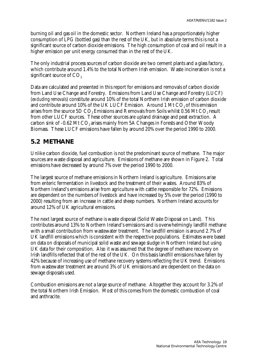burning oil and gas oil in the domestic sector. Northern Ireland has a proportionately higher consumption of LPG (bottled gas) than the rest of the UK, but in absolute terms this is not a significant source of carbon dioxide emissions. The high consumption of coal and oil result in a higher emission per unit energy consumed than in the rest of the UK.

The only industrial process sources of carbon dioxide are two cement plants and a glass factory, which contribute around 1.4% to the total Northern Irish emission. Waste incineration is not a significant source of  $CO<sub>2</sub>$ .

Data are calculated and presented in this report for emissions and removals of carbon dioxide from Land Use Change and Forestry. Emissions from Land Use Change and Forestry (LUCF) (*excluding removals*) constitute around 10% of the total Northern Irish emission of carbon dioxide and contribute around  $10\%$  of the UK LUCF Emission. Around 1 Mt CO<sub>2</sub> of this emission arises from the source 5D  $CO<sub>2</sub>$  Emissions and Removals from Soils whilst 0.56 Mt  $CO<sub>2</sub>$  result from other LUCF sources. These other sources are upland drainage and peat extraction. A carbon sink of  $-0.62$  Mt  $CO<sub>2</sub>$  arises mainly from 5A Changes in Forests and Other Woody Biomass. These LUCF emissions have fallen by around 20% over the period 1990 to 2000.

#### **5.2 METHANE**

Unlike carbon dioxide, fuel combustion is not the predominant source of methane. The major sources are waste disposal and agriculture. Emissions of methane are shown in Figure 2. Total emissions have decreased by around 7% over the period 1990 to 2000.

The largest source of methane emissions in Northern Ireland is agriculture. Emissions arise from enteric fermentation in livestock and the treatment of their wastes. Around 83% of Northern Ireland's emissions arise from agriculture with cattle responsible for 72%. Emissions are dependent on the numbers of livestock and have increased by 5% over the period (1990 to 2000) resulting from an increase in cattle and sheep numbers. Northern Ireland accounts for around 12% of UK agricultural emissions.

The next largest source of methane is waste disposal (Solid Waste Disposal on Land). This contributes around 13% to Northern Ireland's emissions and is overwhelmingly landfill methane with a small contribution from wastewater treatment. The landfill emission is around 2.7% of UK landfill emissions which is consistent with the respective populations. Estimates were based on data on disposals of municipal solid waste and sewage sludge in Northern Ireland but using UK data for their composition. Also it was assumed that the degree of methane recovery on Irish landfills reflected that of the rest of the UK. On this basis landfill emissions have fallen by 42% because of increasing use of methane recovery systems reflecting the UK trend. Emissions from wastewater treatment are around 3% of UK emissions and are dependent on the data on sewage disposals used.

Combustion emissions are not a large source of methane. Altogether they account for 3.2% of the total Northern Irish Emission. Most of this comes from the domestic combustion of coal and anthracite.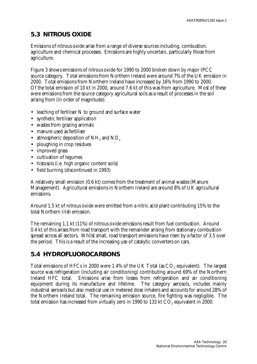#### **5.3 NITROUS OXIDE**

Emissions of nitrous oxide arise from a range of diverse sources including, combustion, agriculture and chemical processes. Emissions are highly uncertain, particularly those from agriculture.

Figure 3 shows emissions of nitrous oxide for 1990 to 2000 broken down by major IPCC source category. Total emissions from Northern Ireland were around 7% of the UK emission in 2000. Total emissions from Northern Ireland have increased by 16% from 1990 to 2000. Of the total emission of 10 kt in 2000, around 7.6 kt of this was from agriculture. Most of these were emissions from the source category agricultural soils as a result of processes in the soil arising from (in order of magnitude):

- leaching of fertiliser N to ground and surface water
- synthetic fertiliser application
- wastes from grazing animals
- manure used as fertiliser
- atmospheric deposition of  $NH<sub>3</sub>$  and  $NO<sub>x</sub>$
- ploughing in crop residues
- improved grass
- cultivation of legumes
- histosols (i.e. high organic content soils)
- field burning (discontinued in 1993)

A relatively small emission (0.6 kt) comes from the treatment of animal wastes (Manure Management). Agricultural emissions in Northern Ireland are around 8% of UK agricultural emissions.

Around 1.5 kt of nitrous oxide were emitted from a nitric acid plant contributing 15% to the total Northern Irish emission.

The remaining 1.1 kt (11%) of nitrous oxide emissions result from fuel combustion. Around 0.4 kt of this arises from road transport with the remainder arising from stationary combustion spread across all sectors. Whilst small, road transport emissions have risen by a factor of 3.5 over the period. This is a result of the increasing use of catalytic converters on cars.

#### **5.4 HYDROFLUOROCARBONS**

Total emissions of HFCs in 2000 were 1.4% of the UK Total (as  $\mathrm{CO}_2$  equivalent). The largest source was refrigeration (including air conditioning) contributing around 69% of the Northern Ireland HFC total. Emissions arise from losses from refrigeration and air conditioning equipment during its manufacture and lifetime. The category aerosols, includes mainly industrial aerosols but also medical use in metered dose inhalers and accounts for around 28% of the Northern Ireland total. The remaining emission source, fire fighting was negligible. The total emission has increased from virtually zero in 1990 to 133 kt  $\mathrm{CO}_2$  equivalent in 2000.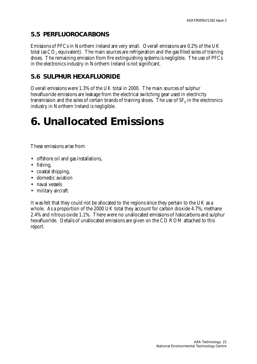#### **5.5 PERFLUOROCARBONS**

Emissions of PFCs in Northern Ireland are very small. Overall emissions are 0.2% of the UK total (as CO $_{\rm 2}$  equivalent). The main sources are refrigeration and the gas filled soles of training shoes. The remaining emission from fire extinguishing systems is negligible. The use of PFCs in the electronics industry in Northern Ireland is not significant.

#### **5.6 SULPHUR HEXAFLUORIDE**

Overall emissions were 1.3% of the UK total in 2000. The main sources of sulphur hexafluoride emissions are leakage from the electrical switching gear used in electricity transmission and the soles of certain brands of training shoes. The use of  $\text{SF}_6$  in the electronics industry in Northern Ireland is negligible.

## **6. Unallocated Emissions**

These emissions arise from

- offshore oil and gas installations,
- fishing,
- coastal shipping,
- domestic aviation
- naval vessels
- military aircraft.

It was felt that they could not be allocated to the regions since they pertain to the UK as a whole. As a proportion of the 2000 UK total they account for carbon dioxide 4.7%; methane 2.4% and nitrous oxide 1.1%. There were no unallocated emissions of halocarbons and sulphur hexafluoride. Details of unallocated emissions are given on the CD ROM attached to this report.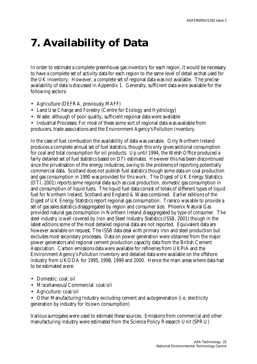## **7. Availability of Data**

In order to estimate a complete greenhouse gas inventory for each region, it would be necessary to have a complete set of activity data for each region to the same level of detail as that used for the UK Inventory. However, a complete set of regional data was not available. The precise availability of data is discussed in Appendix 1. Generally, sufficient data were available for the following sectors:

- Agriculture (DEFRA, previously MAFF)
- Land Use Change and Forestry (Centre for Ecology and Hydrology)
- Waste: although of poor quality, sufficient regional data were available
- Industrial Processes: For most of these some sort of regional data was available from

producers, trade associations and the Environment Agency's Pollution Inventory.

In the case of fuel combustion the availability of data was variable. Only Northern Ireland produces a complete annual set of fuel statistics, though this only gives sectional consumption for coal and total consumption for oil products. Up until 1994, the Welsh Office produced a fairly detailed set of fuel statistics based on DTI estimates. However this has been discontinued since the privatisation of the energy industries, owing to the problems of reporting potentially commercial data. Scotland does not publish fuel statistics though some data on coal production and gas consumption in 1990 was provided for this work. The Digest of UK Energy Statistics (DTI, 2001) reports some regional data such as coal production, domestic gas consumption in and consumption of liquid fuels. The liquid fuel data consist of totals of different types of liquid fuel for Northern Ireland, Scotland and England & Wales combined. Earlier editions of the Digest of UK Energy Statistics report regional gas consumption. Transco was able to provide a set of gas sales statistics disaggregated by region and consumer size. Phoenix Natural Gas provided natural gas consumption in Northern Ireland disaggregated by type of consumer. The steel industry is well covered by Iron and Steel Industry Statistics (ISSB, 2001) though in the latest editions some of the most detailed regional data are not reported. Equivalent data are however available on request. The ISSB data deal with primary iron and steel production but excludes most secondary processes. Data on power generation were obtained from the major power generators and regional cement production capacity data from the British Cement Association. Carbon emissions data were available for refineries from UKPIA and the Environment Agency's Pollution Inventory and detailed data were available on the offshore industry from UKOOA for 1995, 1998, 1999 and 2000. Hence the main areas where data had to be estimated were:

- Domestic: coal: oil
- Miscellaneous/Commercial: coal/oil
- Agriculture: coal/oil

• Other Manufacturing Industry excluding cement and autogeneration (i.e. electricity generation by industry for its own consumption)

Various surrogates were used to estimate these sources. Emissions from commercial and other manufacturing industry were estimated from the Science Policy Research Unit (SPRU)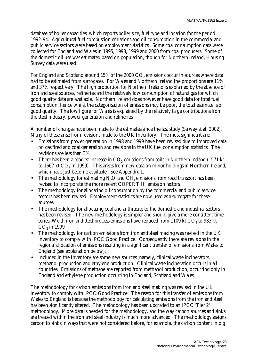database of boiler capacities, which reports boiler size, fuel type and location for the period 1992-94. Agricultural fuel combustion emissions and oil consumption in the commercial and public service sectors were based on employment statistics. Some coal consumption data were collected for England and Wales in 1995, 1998, 1999 and 2000 from coal producers. Some of the domestic oil use was estimated based on population, though for Northern Ireland, Housing Survey data were used.

For England and Scotland around 15% of the 2000  $\mathrm{CO}_2$  emissions occur in sources where data had to be estimated from surrogates. For Wales and Northern Ireland the proportions are 11% and 37% respectively. The high proportion for Northern Ireland is explained by the absence of iron and steel sources, refineries and the relatively low consumption of natural gas for which good quality data are available. Northern Ireland does however have good data for total fuel consumption, hence whilst the categorisation of emissions may be poor, the total estimate is of good quality. The low figure for Wales is explained by the relatively large contributions from the steel industry, power generation and refineries.

A number of changes have been made to the estimates since the last study (Salway *et al*, 2002). Many of these arise from revisions made to the UK Inventory. The most significant are:

- Emissions from power generation in 1998 and 1999 have been revised due to improved data on gas fired and coal generation and revisions in the UK fuel consumption statistics. The revisions are less than 3%.
- There has been a modest increase in  $\mathrm{CO}_2$  emissions from soils in Northern Ireland (1571 kt to 1667 kt CO $_{\rm 2}$  in 1999). This arises from new data on minor holdings in Northern Ireland, which have just become available. See Appendix 1.
- The methodology for estimating  $N<sub>2</sub>O$  and  $CH<sub>4</sub>$  emissions from road transport has been revised to incorporate the more recent COPERT III emission factors.
- The methodology for allocating oil consumption by the commercial and public service sectors has been revised. Employment statistics are now used as a surrogate for these sources.
- The methodology for allocating coal and anthracite to the domestic and industrial sectors has been revised. The new methodology is simpler and should give a more consistent time series. Welsh iron and steel process emissions have reduced from 1109 kt CO $_{\rm z}$  to 983 kt  $\mathrm{CO}_2$  in 1999
- The methodology for carbon emissions from iron and steel making was revised in the UK inventory to comply with IPCC Good Practice. Consequently there are revisions in the regional allocation of emissions resulting in a significant transfer of emissions from Wales to England (see explanation below).
- Included in the Inventory are some new sources, namely, clinical waste incinerators, methanol production and ethylene production. Clinical waste incineration occurs in all countries. Emissions of methane are reported from methanol production, occurring only in England and ethylene production occurring in England, Scotland and Wales.

The methodology for carbon emissions from iron and steel making was revised in the UK inventory to comply with IPCC Good Practice. The reason for this transfer of emissions from Wales to England is because the methodology for calculating emissions from the iron and steel has been significantly altered. The methodology has been upgraded to an IPCC 'Tier 2' methodology. More data is needed for the methodology, and the way carbon sources and sinks are treated within the iron and steel industry is much more advanced. The methodology assigns carbon to sinks in ways that were not considered before, for example, the carbon content in pig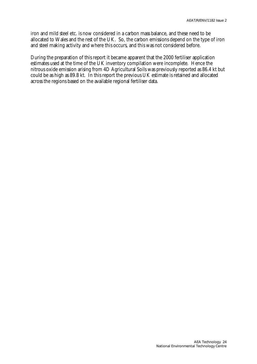iron and mild steel etc. is now considered in a carbon mass balance, and these need to be allocated to Wales and the rest of the UK. So, the carbon emissions depend on the type of iron and steel making activity and where this occurs, and this was not considered before.

During the preparation of this report it became apparent that the 2000 fertiliser application estimates used at the time of the UK inventory compilation were incomplete. Hence the nitrous oxide emission arising from 4D Agricultural Soils was previously reported as 86.4 kt but could be as high as 89.8 kt. In this report the previous UK estimate is retained and allocated across the regions based on the available regional fertiliser data.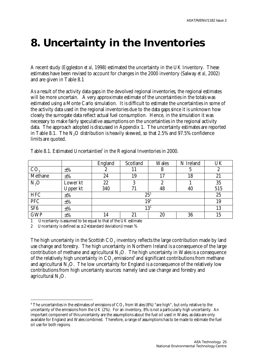### **8. Uncertainty in the Inventories**

A recent study (Eggleston *et al*, 1998) estimated the uncertainty in the UK Inventory. These estimates have been revised to account for changes in the 2000 inventory (Salway *et al*, 2002) and are given in Table 8.1

As a result of the activity data gaps in the devolved regional inventories, the regional estimates will be more uncertain. A very approximate estimate of the uncertainties in the totals was estimated using a Monte Carlo simulation. It is difficult to estimate the uncertainties in some of the activity data used in the regional inventories due to the data gaps since it is unknown how closely the surrogate data reflect actual fuel consumption. Hence, in the simulation it was necessary to make fairly speculative assumptions on the uncertainties in the regional activity data. The approach adopted is discussed in Appendix 1. The uncertainty estimates are reported in Table 8.1. The N<sub>2</sub>O distribution is heavily skewed, so that 2.5% and 97.5% confidence limits are quoted.

|                 |          | England | Scotland        | <b>Wales</b> | N Ireland | UK  |  |  |  |
|-----------------|----------|---------|-----------------|--------------|-----------|-----|--|--|--|
| CO <sub>2</sub> | $\pm\%$  | ∼       |                 | Ω            |           | ん   |  |  |  |
| Methane         | $\pm\%$  | 24      | 19              | .7           | 18        | 21  |  |  |  |
| $N_2O$          | Lower kt | 22      | 3               |              |           | 35  |  |  |  |
|                 | Upper kt | 340     | 71              | 48           | 40        | 515 |  |  |  |
| <b>HFC</b>      | $\pm\%$  |         | 25 <sup>1</sup> |              |           | 25  |  |  |  |
| PFC             | $\pm\%$  |         | $19^{\rm 1}$    |              |           |     |  |  |  |
| SF <sub>6</sub> | $\pm\%$  |         | $13^{\rm 1}$    |              |           |     |  |  |  |
| <b>GWP</b>      | $\pm\%$  | 14      | 21              | 20           | 36        | 15  |  |  |  |

Table 8.1. Estimated Uncertainties<sup>2</sup> in the Regional Inventories in 2000.

1 Uncertainty is assumed to be equal to that of the UK estimate

2 Uncertainty is defined as  $\pm 2\times$  (standard deviation)/mean %

The high uncertainty in the Scottish  $\mathrm{CO}_2$  inventory reflects the large contribution made by land use change and forestry. The high uncertainty in Northern Ireland is a consequence of the large contribution of methane and agricultural  $N_2O$ . The high uncertainty in Wales is a consequence of the relatively high uncertainty in  $\mathrm{CO}_2$  emissions $^4$  and significant contributions from methane and agricultural  $N<sub>2</sub>O$ . The low uncertainty for England is a consequence of the relatively low contributions from high uncertainty sources: namely land use change and forestry and agricultural  $N<sub>2</sub>O$ .

 $\overline{a}$  $^4$  The uncertainties in the estimates of emissions of CO $_2$  from Wales (8%) "are high", but only relative to the uncertainty of the emissions from the UK (2%). For an inventory, 8% is not a particularly high uncertainty. An important component of this uncertainty are the assumptions about the fuel oil used in Wales, as data are only available for England and Wales combined. Therefore, a range of assumptions has to be made to estimate the fuel oil use for both regions.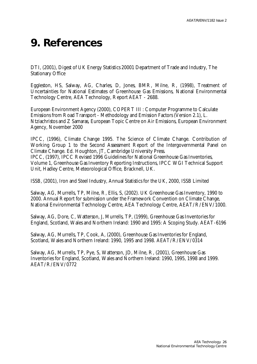### **9. References**

DTI, (2001), Digest of UK Energy Statistics 20001 Department of Trade and Industry, The Stationary Office

Eggleston, HS, Salway, AG, Charles, D, Jones, BMR, Milne, R, (1998), Treatment of Uncertainties for National Estimates of Greenhouse Gas Emissions, National Environmental Technology Centre, AEA Technology, Report AEAT - 2688.

European Environment Agency (2000), COPERT III : Computer Programme to Calculate Emissions from Road Transport - Methodology and Emission Factors (Version 2.1), L. Ntziachristos and Z Samaras, European Topic Centre on Air Emissions, European Environment Agency, November 2000

IPCC, (1996), Climate Change 1995. The Science of Climate Change. Contribution of Working Group 1 to the Second Assessment Report of the Intergovernmental Panel on Climate Change. Ed. Houghton, JT, Cambridge University Press. IPCC, (1997), IPCC Revised 1996 Guidelines for National Greenhouse Gas Inventories, Volume 1, Greenhouse Gas Inventory Reporting Instructions, IPCC WGI Technical Support Unit, Hadley Centre, Meteorological Office, Bracknell, UK.

ISSB, (2001), Iron and Steel Industry, Annual Statistics for the UK, 2000, ISSB Limited

Salway, AG, Murrells, TP, Milne, R, Ellis, S, (2002). UK Greenhouse Gas Inventory, 1990 to 2000. Annual Report for submission under the Framework Convention on Climate Change, National Environmental Technology Centre, AEA Technology Centre, AEAT/R/ENV/1000.

Salway, AG, Dore, C, Watterson, J, Murrells, TP, (1999), Greenhouse Gas Inventories for England, Scotland, Wales and Northern Ireland: 1990 and 1995: A Scoping Study. AEAT-6196

Salway, AG, Murrells, TP, Cook, A, (2000), Greenhouse Gas Inventories for England, Scotland, Wales and Northern Ireland: 1990, 1995 and 1998. AEAT/R/ENV/0314

Salway, AG, Murrells, TP, Pye, S, Watterson, JD, Milne, R, (2001), Greenhouse Gas Inventories for England, Scotland, Wales and Northern Ireland: 1990, 1995, 1998 and 1999. AEAT/R/ENV/0772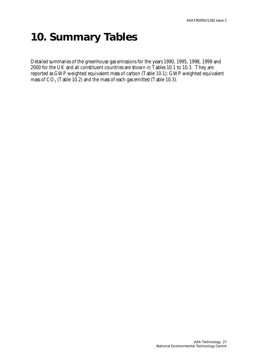### **10. Summary Tables**

Detailed summaries of the greenhouse gas emissions for the years 1990, 1995, 1998, 1999 and 2000 for the UK and all constituent countries are shown in Tables 10.1 to 10.3. They are reported as GWP weighted equivalent mass of carbon (Table 10.1); GWP weighted equivalent mass of CO $_{\tiny 2}$  (Table 10.2) and the mass of each gas emitted (Table 10.3).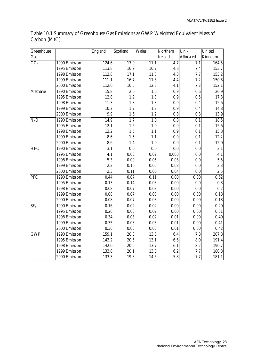| Greenhouse      |               | England | Scotland          | <b>Wales</b>      | Northern          | $Un -$            | United            |
|-----------------|---------------|---------|-------------------|-------------------|-------------------|-------------------|-------------------|
| Gas             |               |         |                   |                   | Ireland           | Allocated         | Kingdom           |
| CO <sub>2</sub> | 1990 Emission | 124.6   | 17.0              | 11.1              | 4.7               | 7.1               | 164.5             |
|                 | 1995 Emission | 113.8   | 16.9              | 10.7              | 4.8               | 7.4               | 153.7             |
|                 | 1998 Emission | 112.8   | 17.1              | 11.3              | 4.3               | 7.7               | 153.2             |
|                 | 1999 Emission | 111.1   | 16.7              | 11.3              | 4.4               | 7.2               | 150.8             |
|                 | 2000 Emission | 112.0   | 16.5              | 12.3              | 4.1               | 7.2               | 152.1             |
| Methane         | 1990 Emission | 15.8    | 2.0               | 1.6               | 0.9               | 0.6               | 20.9              |
|                 | 1995 Emission | 12.8    | $1.9\,$           | 1.3               | 0.9               | 0.5               | 17.3              |
|                 | 1998 Emission | 11.3    | 1.8               | 1.3               | 0.9               | 0.4               | 15.6              |
|                 | 1999 Emission | 10.7    | 1.7               | 1.2               | 0.9               | 0.4               | 14.8              |
|                 | 2000 Emission | 9.9     | 1.6               | 1.2               | 0.8               | $0.3\,$           | 13.9              |
| $N_2O$          | 1990 Emission | 14.9    | 1.7               | 1.0               | 0.8               | 0.1               | 18.5              |
|                 | 1995 Emission | 12.1    | $1.5\,$           | 1.0               | 0.9               | 0.1               | 15.6              |
|                 | 1998 Emission | 12.2    | 1.5               | 1.1               | 0.9               | 0.1               | 15.8              |
|                 | 1999 Emission | 8.6     | 1.5               | 1.1               | 0.9               | 0.1               | 12.2              |
|                 | 2000 Emission | 8.6     | 1.4               | 1.0               | 0.9               | 0.1               | 12.0              |
| <b>HFC</b>      | 1990 Emission | 3.1     | 0.0               | 0.0               | 0.0               | 0.0               | 3.1               |
|                 | 1995 Emission | 4.1     | 0.03              | $0.02\,$          | 0.008             | 0.0               | 4.1               |
|                 | 1998 Emission | 5.3     | 0.09              | 0.05              | 0.03              | 0.0               | 5.5               |
|                 | 1999 Emission | 2.2     | 0.10              | 0.05              | 0.03              | 0.0               | 2.3               |
|                 | 2000 Emission | 2.3     | 0.11              | $0.06\,$          | 0.04              | 0.0               | 2.5               |
| PFC             | 1990 Emission | 0.44    | $\overline{0.07}$ | $\overline{0.11}$ | 0.00              | $\overline{0.00}$ | 0.62              |
|                 | 1995 Emission | 0.13    | 0.14              | 0.03              | 0.00              | 0.0               | $0.3\,$           |
|                 | 1998 Emission | 0.08    | 0.07              | $\rm 0.03$        | 0.00              | 0.0               | 0.2               |
|                 | 1999 Emission | 0.08    | 0.07              | 0.03              | 0.00              | 0.00              | 0.18              |
|                 | 2000 Emission | 0.08    | 0.07              | 0.03              | 0.00              | 0.00              | 0.18              |
| SF <sub>6</sub> | 1990 Emission | 0.16    | $0.02\,$          | $\overline{0.02}$ | $\overline{0.00}$ | 0.00              | $\overline{0.20}$ |
|                 | 1995 Emission | 0.26    | 0.03              | $0.02\,$          | 0.00              | 0.00              | 0.31              |
|                 | 1998 Emission | 0.34    | 0.03              | $\rm 0.02$        | $0.01\,$          | $0.00\,$          | 0.40              |
|                 | 1999 Emission | 0.35    | 0.03              | 0.03              | 0.01              | 0.00              | 0.41              |
|                 | 2000 Emission | 0.36    | 0.03              | 0.03              | 0.01              | 0.00              | 0.42              |
| <b>GWP</b>      | 1990 Emission | 159.1   | 20.8              | 13.8              | 6.4               | 7.8               | 207.8             |
|                 | 1995 Emission | 143.2   | $20.5\,$          | 13.1              | 6.6               | 8.0               | 191.4             |
|                 | 1998 Emission | 142.0   | $20.6\,$          | 13.7              | 6.1               | 8.2               | 190.7             |
|                 | 1999 Emission | 133.0   | 20.1              | 13.8              | 6.2               | 7.7               | 180.8             |
|                 | 2000 Emission | 133.3   | 19.8              | 14.5              | 5.8               | 7.7               | 181.1             |

#### Table 10.1 Summary of Greenhouse Gas Emissions as GWP Weighted Equivalent Mass of Carbon (MtC)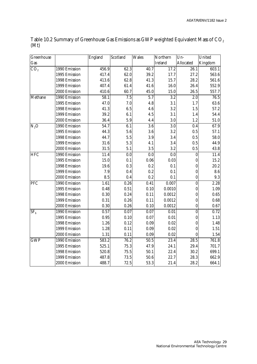| Greenhouse      |                 | England | Scotland         | <b>Wales</b>      | Northern | $Un-$            | United  |
|-----------------|-----------------|---------|------------------|-------------------|----------|------------------|---------|
| Gas             |                 |         |                  |                   | Ireland  | Allocated        | Kingdom |
| CO <sub>2</sub> | $1990$ Emission | 456.9   | 62.3             | 40.7              | 17.2     | 26.1             | 603.1   |
|                 | 1995 Emission   | 417.4   | 62.0             | 39.2              | 17.7     | 27.2             | 563.6   |
|                 | 1998 Emission   | 413.6   | 62.8             | 41.3              | 15.7     | 28.2             | 561.6   |
|                 | 1999 Emission   | 407.4   | 61.4             | 41.6              | 16.0     | 26.4             | 552.9   |
|                 | 2000 Emission   | 410.6   | 60.7             | 45.0              | 15.0     | 26.5             | 557.7   |
| Methane         | 1990 Emission   | 58.1    | $\overline{7.5}$ | 5.7               | 3.2      | 2.0              | 76.5    |
|                 | 1995 Emission   | 47.0    | 7.0              | 4.8               | 3.1      | 1.7              | 63.6    |
|                 | 1998 Emission   | 41.3    | 6.5              | 4.6               | 3.2      | 1.5              | 57.2    |
|                 | 1999 Emission   | 39.2    | 6.1              | 4.5               | 3.1      | 1.4              | 54.4    |
|                 | 2000 Emission   | 36.4    | 5.9              | 4.4               | 3.0      | 1.2              | 51.0    |
| $N_2O$          | 1990 Emission   | 54.7    | 6.1              | $\overline{3.6}$  | 3.0      | 0.4              | 67.9    |
|                 | 1995 Emission   | 44.3    | 5.6              | 3.6               | 3.2      | 0.5              | 57.1    |
|                 | 1998 Emission   | 44.7    | 5.5              | 3.9               | 3.4      | $0.5\,$          | 58.0    |
|                 | 1999 Emission   | 31.6    | 5.3              | 4.1               | 3.4      | 0.5              | 44.9    |
|                 | 2000 Emission   | 31.5    | 5.1              | 3.5               | 3.2      | 0.5              | 43.8    |
| <b>HFC</b>      | 1990 Emission   | 11.4    | 0.0              | 0.0               | 0.0      | $\boldsymbol{0}$ | 11.4    |
|                 | 1995 Emission   | 15.0    | 0.1              | 0.06              | 0.03     | $\boldsymbol{0}$ | 15.2    |
|                 | 1998 Emission   | 19.6    | 0.3              | 0.2               | 0.1      | $\boldsymbol{0}$ | 20.2    |
|                 | 1999 Emission   | 7.9     | 0.4              | 0.2               | 0.1      | $\boldsymbol{0}$ | 8.6     |
|                 | 2000 Emission   | 8.5     | 0.4              | 0.2               | 0.1      | $\bf{0}$         | 9.3     |
| PFC             | 1990 Emission   | 1.61    | 0.26             | 0.41              | 0.007    | $\boldsymbol{0}$ | 2.28    |
|                 | 1995 Emission   | 0.48    | 0.51             | 0.10              | 0.0010   | $\boldsymbol{0}$ | 1.09    |
|                 | 1998 Emission   | 0.30    | 0.24             | 0.11              | 0.0012   | $\boldsymbol{0}$ | 0.65    |
|                 | 1999 Emission   | 0.31    | 0.26             | 0.11              | 0.0012   | $\boldsymbol{0}$ | 0.68    |
|                 | 2000 Emission   | 0.30    | 0.26             | 0.10              | 0.0012   | $\boldsymbol{0}$ | 0.67    |
| SF <sub>6</sub> | 1990 Emission   | 0.57    | 0.07             | 0.07              | 0.01     | $\mathbf{0}$     | 0.72    |
|                 | 1995 Emission   | 0.95    | 0.10             | 0.07              | 0.01     | $\theta$         | 1.13    |
|                 | 1998 Emission   | 1.26    | 0.12             | 0.09              | $0.02\,$ | $\boldsymbol{0}$ | 1.48    |
|                 | 1999 Emission   | 1.28    | 0.11             | 0.09              | $0.02\,$ | $\theta$         | 1.51    |
|                 | 2000 Emission   | 1.31    | 0.11             | 0.09              | $0.02\,$ | $\theta$         | 1.54    |
| <b>GWP</b>      | $1990$ Emission | 583.2   | 76.2             | $\overline{50.5}$ | 23.4     | 28.5             | 761.8   |
|                 | 1995 Emission   | 525.1   | 75.3             | 47.9              | 24.1     | 29.4             | 701.7   |
|                 | 1998 Emission   | 520.8   | 75.5             | 50.1              | 22.4     | 30.2             | 699.1   |
|                 | 1999 Emission   | 487.8   | 73.5             | 50.6              | 22.7     | 28.3             | 662.9   |
|                 | 2000 Emission   | 488.7   | 72.5             | 53.3              | 21.4     | 28.2             | 664.1   |

Table 10.2 Summary of Greenhouse Gas Emissions as GWP weighted Equivalent Mass of  $\mathrm{CO}_2$ (Mt)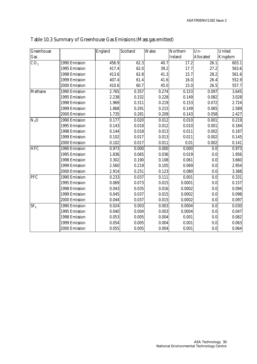| Greenhouse               |               | England | Scotland | <b>Wales</b> | Northern       | $Un-$            | United  |
|--------------------------|---------------|---------|----------|--------------|----------------|------------------|---------|
| Gas                      |               |         |          |              | <b>Ireland</b> | Allocated        | Kingdom |
| CO <sub>2</sub>          | 1990 Emission | 456.9   | 62.3     | 40.7         | 17.2           | 26.1             | 603.1   |
|                          | 1995 Emission | 417.4   | 62.0     | 39.2         | 17.7           | 27.2             | 563.6   |
|                          | 1998 Emission | 413.6   | 62.8     | 41.3         | 15.7           | 28.2             | 561.6   |
|                          | 1999 Emission | 407.4   | 61.4     | 41.6         | 16.0           | 26.4             | 552.9   |
|                          | 2000 Emission | 410.6   | 60.7     | 45.0         | 15.0           | 26.5             | 557.7   |
| Methane                  | 1990 Emission | 2.765   | 0.357    | 0.274        | 0.153          | 0.097            | 3.645   |
|                          | 1995 Emission | 2.238   | 0.332    | 0.228        | 0.149          | 0.082            | 3.028   |
|                          | 1998 Emission | 1.969   | 0.311    | 0.219        | 0.153          | 0.072            | 2.724   |
|                          | 1999 Emission | 1.868   | 0.291    | 0.215        | 0.149          | 0.065            | 2.589   |
|                          | 2000 Emission | 1.735   | 0.281    | 0.209        | 0.143          | 0.058            | 2.427   |
| $N_2O$                   | 1990 Emission | 0.177   | 0.020    | 0.012        | 0.010          | 0.001            | 0.219   |
|                          | 1995 Emission | 0.143   | 0.018    | 0.012        | 0.010          | 0.001            | 0.184   |
|                          | 1998 Emission | 0.144   | 0.018    | 0.013        | 0.011          | 0.002            | 0.187   |
|                          | 1999 Emission | 0.102   | 0.017    | 0.013        | 0.011          | 0.002            | 0.145   |
|                          | 2000 Emission | 0.102   | 0.017    | 0.011        | 0.01           | 0.002            | 0.141   |
| <b>HFC</b>               | 1990 Emission | 0.973   | 0.000    | 0.000        | 0.000          | 0.0              | 0.973   |
|                          | 1995 Emission | 1.836   | 0.065    | 0.036        | 0.019          | 0.0              | 1.956   |
|                          | 1998 Emission | 3.302   | 0.190    | 0.108        | 0.061          | 0.0              | 3.660   |
|                          | 1999 Emission | 2.560   | 0.219    | 0.105        | 0.069          | 0.0              | 2.954   |
|                          | 2000 Emission | 2.914   | 0.251    | 0.123        | 0.080          | 0.0              | 3.368   |
| PFC                      | 1990 Emission | 0.233   | 0.037    | 0.111        | 0.001          | 0.0              | 0.331   |
|                          | 1995 Emission | 0.069   | 0.073    | 0.015        | 0.0001         | 0.0              | 0.157   |
|                          | 1998 Emission | 0.043   | 0.035    | 0.016        | 0.0002         | 0.0              | 0.094   |
|                          | 1999 Emission | 0.045   | 0.037    | 0.015        | 0.0002         | 0.0              | 0.098   |
|                          | 2000 Emission | 0.044   | 0.037    | 0.015        | 0.0002         | 0.0              | 0.097   |
| $\overline{\text{SF}}_6$ | 1990 Emission | 0.024   | 0.003    | 0.003        | 0.0004         | $\overline{0.0}$ | 0.030   |
|                          | 1995 Emission | 0.040   | 0.004    | 0.003        | 0.0004         | 0.0              | 0.047   |
|                          | 1998 Emission | 0.053   | 0.005    | 0.004        | 0.001          | 0.0              | 0.062   |
|                          | 1999 Emission | 0.054   | 0.005    | 0.004        | 0.001          | 0.0              | 0.063   |
|                          | 2000 Emission | 0.055   | 0.005    | 0.004        | 0.001          | 0.0              | 0.064   |

Table 10.3 Summary of Greenhouse Gas Emissions (Mass gas emitted)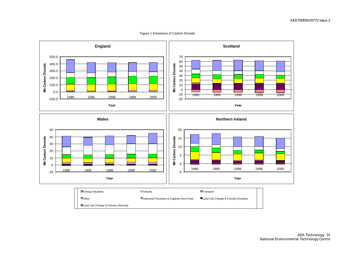Figure 1 Emissions of Carbon Dioxide

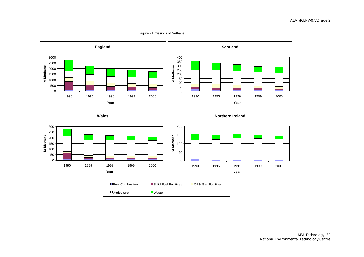#### Figure 2 Emissions of Methane

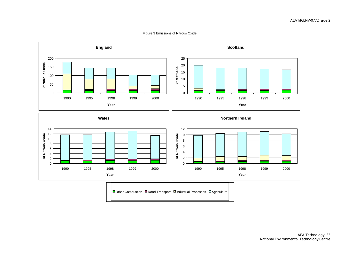Figure 3 Emissions of Nitrous Oxide

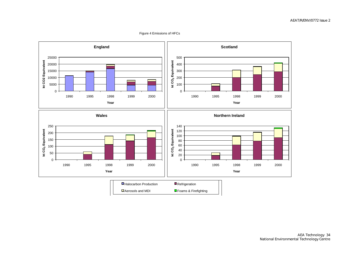Figure 4 Emissions of HFCs

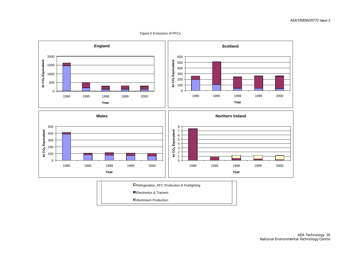Figure 5 Emissions of PFCs

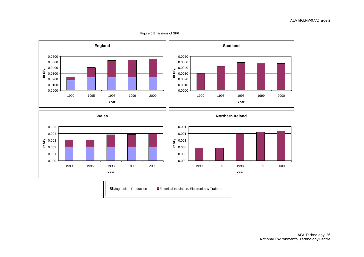#### Figure 6 Emissions of SF6

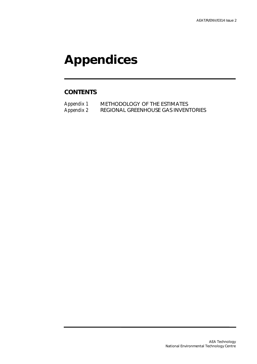# **Appendices**

#### **CONTENTS**

Appendix 1 METHODOLOGY OF THE ESTIMATES<br>Appendix 2 REGIONAL GREENHOUSE GAS INVEN REGIONAL GREENHOUSE GAS INVENTORIES